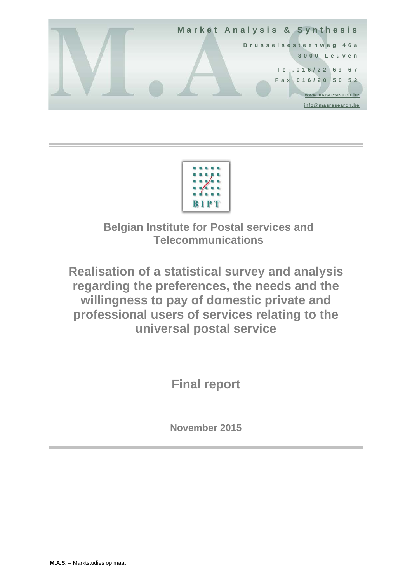



**Belgian Institute for Postal services and Telecommunications**

**Realisation of a statistical survey and analysis regarding the preferences, the needs and the willingness to pay of domestic private and professional users of services relating to the universal postal service**

**Final report**

**November 2015**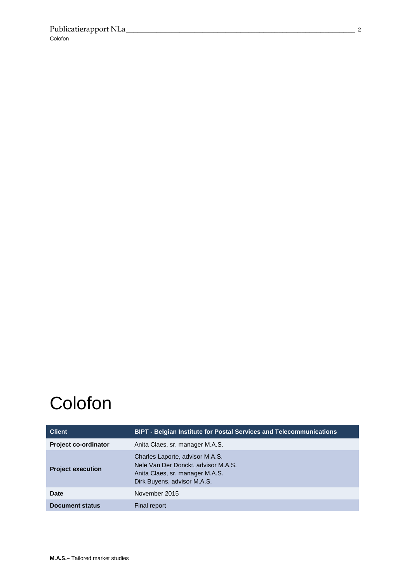# **Colofon**

| <b>Client</b>               | <b>BIPT - Belgian Institute for Postal Services and Telecommunications</b>                                                               |
|-----------------------------|------------------------------------------------------------------------------------------------------------------------------------------|
| <b>Project co-ordinator</b> | Anita Claes, sr. manager M.A.S.                                                                                                          |
| <b>Project execution</b>    | Charles Laporte, advisor M.A.S.<br>Nele Van Der Donckt, advisor M.A.S.<br>Anita Claes, sr. manager M.A.S.<br>Dirk Buyens, advisor M.A.S. |
| Date                        | November 2015                                                                                                                            |
| <b>Document status</b>      | Final report                                                                                                                             |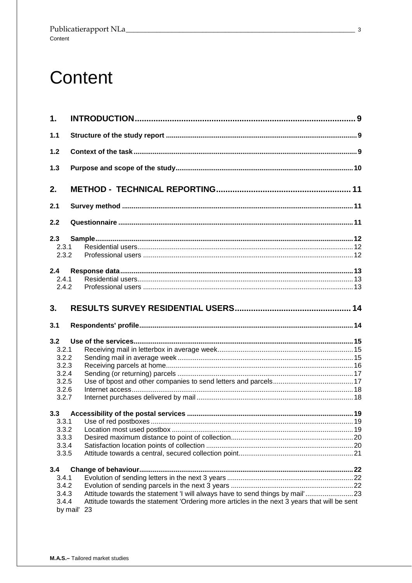# Content

| 1.    |                                                                                                                |  |
|-------|----------------------------------------------------------------------------------------------------------------|--|
| $1.1$ |                                                                                                                |  |
| 1.2   |                                                                                                                |  |
| 1.3   |                                                                                                                |  |
| 2.    |                                                                                                                |  |
| 2.1   |                                                                                                                |  |
| 2.2   |                                                                                                                |  |
| 2.3   |                                                                                                                |  |
| 2.3.1 |                                                                                                                |  |
| 2.3.2 |                                                                                                                |  |
| 2.4   |                                                                                                                |  |
| 2.4.1 |                                                                                                                |  |
| 2.4.2 |                                                                                                                |  |
| 3.    |                                                                                                                |  |
| 3.1   |                                                                                                                |  |
| 3.2   |                                                                                                                |  |
| 3.2.1 |                                                                                                                |  |
| 3.2.2 |                                                                                                                |  |
| 3.2.3 |                                                                                                                |  |
| 3.2.4 |                                                                                                                |  |
| 3.2.5 |                                                                                                                |  |
| 3.2.6 |                                                                                                                |  |
| 3.2.7 |                                                                                                                |  |
| 3.3   |                                                                                                                |  |
| 3.3.1 |                                                                                                                |  |
| 3.3.2 |                                                                                                                |  |
| 3.3.3 |                                                                                                                |  |
| 3.3.4 |                                                                                                                |  |
| 3.3.5 |                                                                                                                |  |
| 3.4   |                                                                                                                |  |
| 3.4.1 |                                                                                                                |  |
| 3.4.2 |                                                                                                                |  |
| 3.4.3 | Attitude towards the statement 'I will always have to send things by mail'23                                   |  |
| 3.4.4 | Attitude towards the statement 'Ordering more articles in the next 3 years that will be sent<br>by mail'<br>23 |  |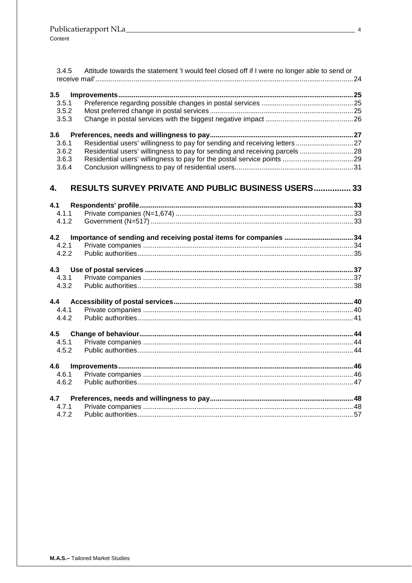| 3.4.5 | Attitude towards the statement 'I would feel closed off if I were no longer able to send or |  |
|-------|---------------------------------------------------------------------------------------------|--|
|       |                                                                                             |  |
| 3.5   |                                                                                             |  |
| 3.5.1 |                                                                                             |  |
| 3.5.2 |                                                                                             |  |
| 3.5.3 |                                                                                             |  |
| 3.6   |                                                                                             |  |
| 3.6.1 |                                                                                             |  |
| 3.6.2 | Residential users' willingness to pay for sending and receiving parcels  28                 |  |
| 3.6.3 |                                                                                             |  |
| 3.6.4 |                                                                                             |  |
| 4.    | <b>RESULTS SURVEY PRIVATE AND PUBLIC BUSINESS USERS 33</b>                                  |  |
| 4.1   |                                                                                             |  |
| 4.1.1 |                                                                                             |  |
| 4.1.2 |                                                                                             |  |
| 4.2   | Importance of sending and receiving postal items for companies 34                           |  |
| 4.2.1 |                                                                                             |  |
| 4.2.2 |                                                                                             |  |
|       |                                                                                             |  |
| 4.3.1 |                                                                                             |  |
| 4.3.2 |                                                                                             |  |
| 4.4   |                                                                                             |  |
| 4.4.1 |                                                                                             |  |
| 4.4.2 |                                                                                             |  |
| 4.5   |                                                                                             |  |
| 4.5.1 |                                                                                             |  |
| 4.5.2 |                                                                                             |  |
| 4.6   |                                                                                             |  |
| 4.6.1 |                                                                                             |  |
| 4.6.2 |                                                                                             |  |
| 4.7   |                                                                                             |  |
| 4.7.1 |                                                                                             |  |
| 4.7.2 |                                                                                             |  |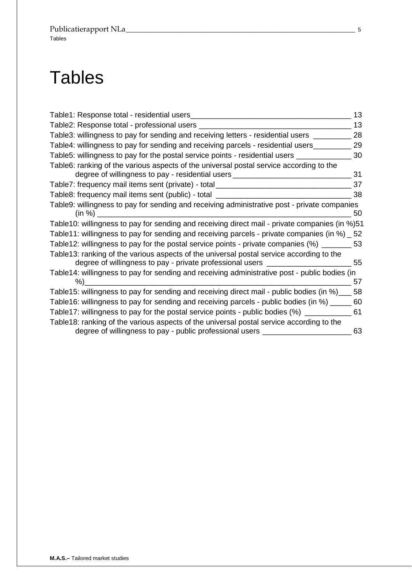# **Tables**

| Table1: Response total - residential users_                                                                                                                                  | 13 |
|------------------------------------------------------------------------------------------------------------------------------------------------------------------------------|----|
| Table2: Response total - professional users _                                                                                                                                | 13 |
| Table3: willingness to pay for sending and receiving letters - residential users __                                                                                          | 28 |
| Table4: willingness to pay for sending and receiving parcels - residential users_                                                                                            | 29 |
| Table5: willingness to pay for the postal service points - residential users ___                                                                                             | 30 |
| Table6: ranking of the various aspects of the universal postal service according to the<br>degree of willingness to pay - residential users _______________________________  | 31 |
| Table7: frequency mail items sent (private) - total ____________________________                                                                                             | 37 |
| Table8: frequency mail items sent (public) - total                                                                                                                           | 38 |
| Table9: willingness to pay for sending and receiving administrative post - private companies<br>(in %)                                                                       | 50 |
| Table10: willingness to pay for sending and receiving direct mail - private companies (in %)51                                                                               |    |
| Table11: willingness to pay for sending and receiving parcels - private companies (in %) _ 52                                                                                |    |
| Table12: willingness to pay for the postal service points - private companies $\frac{m}{2}$ __________ 53                                                                    |    |
| Table13: ranking of the various aspects of the universal postal service according to the<br>degree of willingness to pay - private professional users ______________________ | 55 |
| Table14: willingness to pay for sending and receiving administrative post - public bodies (in<br>%)                                                                          | 57 |
| Table15: willingness to pay for sending and receiving direct mail - public bodies (in %)                                                                                     | 58 |
| Table16: willingness to pay for sending and receiving parcels - public bodies (in %) __                                                                                      | 60 |
| Table17: willingness to pay for the postal service points - public bodies (%) _______                                                                                        | 61 |
| Table18: ranking of the various aspects of the universal postal service according to the<br>degree of willingness to pay - public professional users _                       | 63 |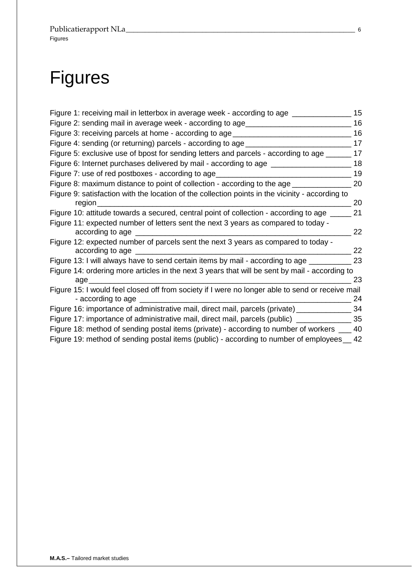# Figures

| Figure 1: receiving mail in letterbox in average week - according to age                                                 | 15 |
|--------------------------------------------------------------------------------------------------------------------------|----|
| Figure 2: sending mail in average week - according to age_________                                                       | 16 |
| Figure 3: receiving parcels at home - according to age                                                                   | 16 |
| Figure 4: sending (or returning) parcels - according to age ____                                                         | 17 |
| Figure 5: exclusive use of bpost for sending letters and parcels - according to age _                                    | 17 |
| Figure 6: Internet purchases delivered by mail - according to age __                                                     | 18 |
| Figure 7: use of red postboxes - according to age                                                                        | 19 |
| Figure 8: maximum distance to point of collection - according to the age _                                               | 20 |
| Figure 9: satisfaction with the location of the collection points in the vicinity - according to<br>region               | 20 |
| Figure 10: attitude towards a secured, central point of collection - according to age                                    | 21 |
| Figure 11: expected number of letters sent the next 3 years as compared to today -<br>according to age ______________    | 22 |
| Figure 12: expected number of parcels sent the next 3 years as compared to today -<br>according to age                   | 22 |
| Figure 13: I will always have to send certain items by mail - according to age                                           | 23 |
| Figure 14: ordering more articles in the next 3 years that will be sent by mail - according to<br>age                    | 23 |
| Figure 15: I would feel closed off from society if I were no longer able to send or receive mail<br>- according to age _ | 24 |
| Figure 16: importance of administrative mail, direct mail, parcels (private) ________                                    | 34 |
| Figure 17: importance of administrative mail, direct mail, parcels (public)                                              | 35 |
| Figure 18: method of sending postal items (private) - according to number of workers ___                                 | 40 |
| Figure 19: method of sending postal items (public) - according to number of employees                                    | 42 |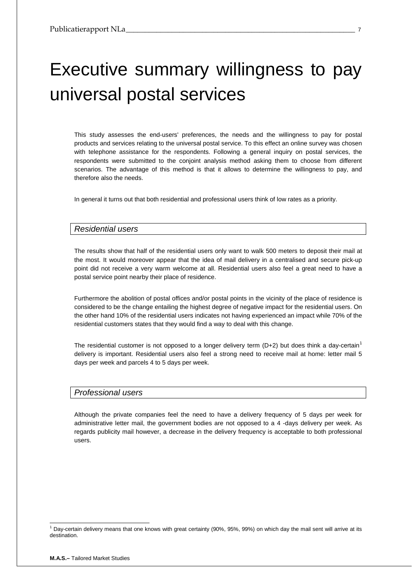# Executive summary willingness to pay universal postal services

This study assesses the end-users' preferences, the needs and the willingness to pay for postal products and services relating to the universal postal service. To this effect an online survey was chosen with telephone assistance for the respondents. Following a general inquiry on postal services, the respondents were submitted to the conjoint analysis method asking them to choose from different scenarios. The advantage of this method is that it allows to determine the willingness to pay, and therefore also the needs.

In general it turns out that both residential and professional users think of low rates as a priority.

## *Residential users*

The results show that half of the residential users only want to walk 500 meters to deposit their mail at the most. It would moreover appear that the idea of mail delivery in a centralised and secure pick-up point did not receive a very warm welcome at all. Residential users also feel a great need to have a postal service point nearby their place of residence.

Furthermore the abolition of postal offices and/or postal points in the vicinity of the place of residence is considered to be the change entailing the highest degree of negative impact for the residential users. On the other hand 10% of the residential users indicates not having experienced an impact while 70% of the residential customers states that they would find a way to deal with this change.

The residential customer is not opposed to a longer delivery term  $(D+2)$  but does think a day-certain<sup>[1](#page-6-0)</sup> delivery is important. Residential users also feel a strong need to receive mail at home: letter mail 5 days per week and parcels 4 to 5 days per week.

## *Professional users*

Although the private companies feel the need to have a delivery frequency of 5 days per week for administrative letter mail, the government bodies are not opposed to a 4 -days delivery per week. As regards publicity mail however, a decrease in the delivery frequency is acceptable to both professional users.

<span id="page-6-0"></span> <sup>1</sup> Day-certain delivery means that one knows with great certainty (90%, 95%, 99%) on which day the mail sent will arrive at its destination.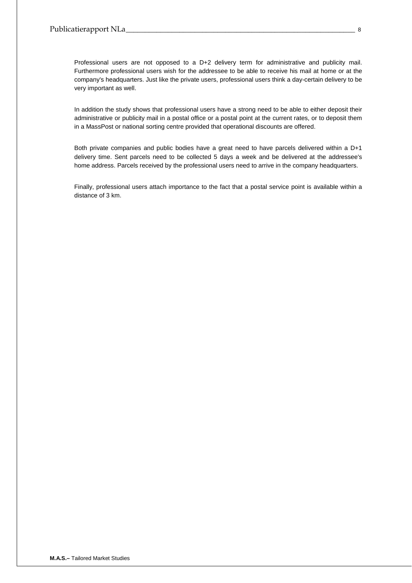Professional users are not opposed to a D+2 delivery term for administrative and publicity mail. Furthermore professional users wish for the addressee to be able to receive his mail at home or at the company's headquarters. Just like the private users, professional users think a day-certain delivery to be very important as well.

In addition the study shows that professional users have a strong need to be able to either deposit their administrative or publicity mail in a postal office or a postal point at the current rates, or to deposit them in a MassPost or national sorting centre provided that operational discounts are offered.

Both private companies and public bodies have a great need to have parcels delivered within a D+1 delivery time. Sent parcels need to be collected 5 days a week and be delivered at the addressee's home address. Parcels received by the professional users need to arrive in the company headquarters.

Finally, professional users attach importance to the fact that a postal service point is available within a distance of 3 km.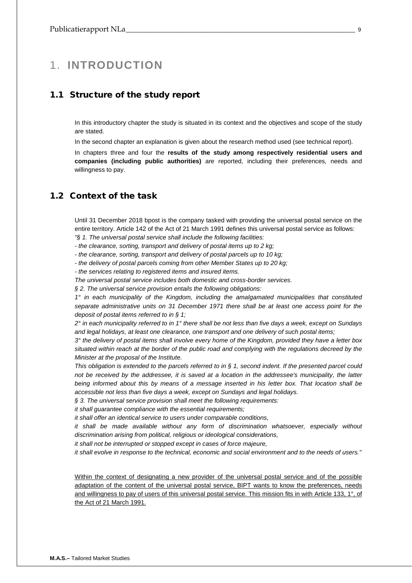# <span id="page-8-0"></span>1. **INTRODUCTION**

## <span id="page-8-1"></span>1.1 Structure of the study report

In this introductory chapter the study is situated in its context and the objectives and scope of the study are stated.

In the second chapter an explanation is given about the research method used (see technical report).

In chapters three and four the **results of the study among respectively residential users and companies (including public authorities)** are reported, including their preferences, needs and willingness to pay.

## <span id="page-8-2"></span>1.2 Context of the task

Until 31 December 2018 bpost is the company tasked with providing the universal postal service on the entire territory. Article 142 of the Act of 21 March 1991 defines this universal postal service as follows: *"§ 1. The universal postal service shall include the following facilities:* 

*- the clearance, sorting, transport and delivery of postal items up to 2 kg;* 

*- the clearance, sorting, transport and delivery of postal parcels up to 10 kg;* 

*- the delivery of postal parcels coming from other Member States up to 20 kg;* 

*- the services relating to registered items and insured items.* 

*The universal postal service includes both domestic and cross-border services.* 

*§ 2. The universal service provision entails the following obligations:*

*1° in each municipality of the Kingdom, including the amalgamated municipalities that constituted separate administrative units on 31 December 1971 there shall be at least one access point for the deposit of postal items referred to in § 1;* 

*2° in each municipality referred to in 1° there shall be not less than five days a week, except on Sundays and legal holidays, at least one clearance, one transport and one delivery of such postal items;* 

*3° the delivery of postal items shall involve every home of the Kingdom, provided they have a letter box situated within reach at the border of the public road and complying with the regulations decreed by the Minister at the proposal of the Institute.* 

*This obligation is extended to the parcels referred to in § 1, second indent. If the presented parcel could not be received by the addressee, it is saved at a location in the addressee's municipality, the latter being informed about this by means of a message inserted in his letter box. That location shall be accessible not less than five days a week, except on Sundays and legal holidays.* 

*§ 3. The universal service provision shall meet the following requirements:*

*it shall guarantee compliance with the essential requirements;* 

*it shall offer an identical service to users under comparable conditions,* 

*it shall be made available without any form of discrimination whatsoever, especially without discrimination arising from political, religious or ideological considerations,* 

*it shall not be interrupted or stopped except in cases of force majeure,* 

*it shall evolve in response to the technical, economic and social environment and to the needs of users."* 

Within the context of designating a new provider of the universal postal service and of the possible adaptation of the content of the universal postal service, BIPT wants to know the preferences, needs and willingness to pay of users of this universal postal service. This mission fits in with Article 133, 1°, of the Act of 21 March 1991.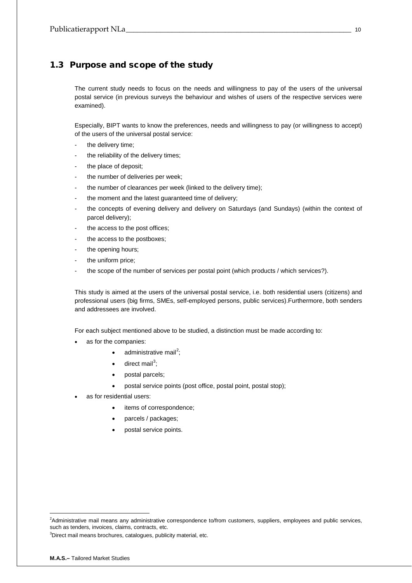## <span id="page-9-0"></span>1.3 Purpose and scope of the study

The current study needs to focus on the needs and willingness to pay of the users of the universal postal service (in previous surveys the behaviour and wishes of users of the respective services were examined).

Especially, BIPT wants to know the preferences, needs and willingness to pay (or willingness to accept) of the users of the universal postal service:

- the delivery time;
- the reliability of the delivery times;
- the place of deposit;
- the number of deliveries per week;
- the number of clearances per week (linked to the delivery time);
- the moment and the latest guaranteed time of delivery;
- the concepts of evening delivery and delivery on Saturdays (and Sundays) (within the context of parcel delivery);
- the access to the post offices;
- the access to the postboxes;
- the opening hours;
- the uniform price;
- the scope of the number of services per postal point (which products / which services?).

This study is aimed at the users of the universal postal service, i.e. both residential users (citizens) and professional users (big firms, SMEs, self-employed persons, public services).Furthermore, both senders and addressees are involved.

For each subject mentioned above to be studied, a distinction must be made according to:

- as for the companies:
	- administrative mail<sup>[2](#page-9-1)</sup>;
	- $\bullet$  direct mail<sup>[3](#page-9-2)</sup>;
	- postal parcels;
	- postal service points (post office, postal point, postal stop);
- as for residential users:
	- items of correspondence;
	- parcels / packages;
	- postal service points.

<span id="page-9-2"></span> ${}^{3}$ Direct mail means brochures, catalogues, publicity material, etc.

<span id="page-9-1"></span> $\frac{1}{2}$ <sup>2</sup>Administrative mail means any administrative correspondence to/from customers, suppliers, employees and public services, such as tenders, invoices, claims, contracts, etc.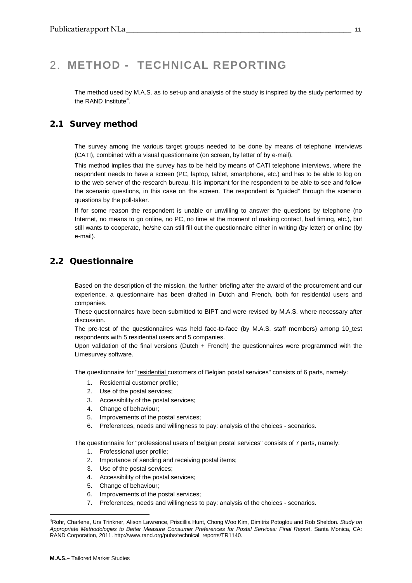# <span id="page-10-0"></span>2. **METHOD - TECHNICAL REPORTING**

The method used by M.A.S. as to set-up and analysis of the study is inspired by the study performed by the RAND Institute<sup>[4](#page-10-3)</sup>.

## <span id="page-10-1"></span>2.1 Survey method

The survey among the various target groups needed to be done by means of telephone interviews (CATI), combined with a visual questionnaire (on screen, by letter of by e-mail).

This method implies that the survey has to be held by means of CATI telephone interviews, where the respondent needs to have a screen (PC, laptop, tablet, smartphone, etc.) and has to be able to log on to the web server of the research bureau. It is important for the respondent to be able to see and follow the scenario questions, in this case on the screen. The respondent is "guided" through the scenario questions by the poll-taker.

If for some reason the respondent is unable or unwilling to answer the questions by telephone (no Internet, no means to go online, no PC, no time at the moment of making contact, bad timing, etc.), but still wants to cooperate, he/she can still fill out the questionnaire either in writing (by letter) or online (by e-mail).

## <span id="page-10-2"></span>2.2 Questionnaire

Based on the description of the mission, the further briefing after the award of the procurement and our experience, a questionnaire has been drafted in Dutch and French, both for residential users and companies.

These questionnaires have been submitted to BIPT and were revised by M.A.S. where necessary after discussion.

The pre-test of the questionnaires was held face-to-face (by M.A.S. staff members) among 10\_test respondents with 5 residential users and 5 companies.

Upon validation of the final versions (Dutch + French) the questionnaires were programmed with the Limesurvey software.

The questionnaire for "residential customers of Belgian postal services" consists of 6 parts, namely:

- 1. Residential customer profile;
- 2. Use of the postal services;
- 3. Accessibility of the postal services;
- 4. Change of behaviour;
- 5. Improvements of the postal services;
- 6. Preferences, needs and willingness to pay: analysis of the choices scenarios.

The questionnaire for "professional users of Belgian postal services" consists of 7 parts, namely:

- 1. Professional user profile;
- 2. Importance of sending and receiving postal items;
- 3. Use of the postal services;
- 4. Accessibility of the postal services;
- 5. Change of behaviour;
- 6. Improvements of the postal services;
- 7. Preferences, needs and willingness to pay: analysis of the choices scenarios.

-

<span id="page-10-3"></span><sup>4</sup>Rohr, Charlene, Urs Trinkner, Alison Lawrence, Priscillia Hunt, Chong Woo Kim, Dimitris Potoglou and Rob Sheldon. *Study on Appropriate Methodologies to Better Measure Consumer Preferences for Postal Services: Final Report*. Santa Monica, CA: RAND Corporation, 2011. http://www.rand.org/pubs/technical\_reports/TR1140.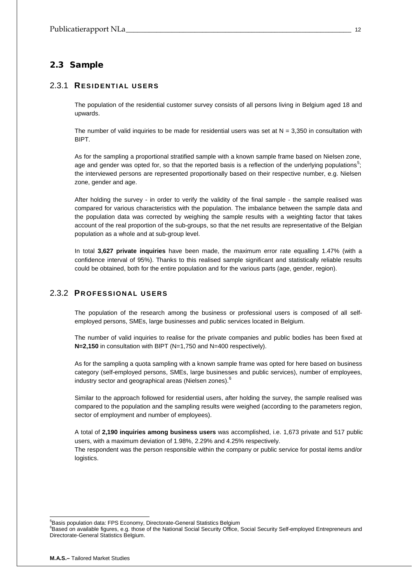## <span id="page-11-0"></span>2.3 Sample

## <span id="page-11-1"></span>2.3.1 **RESIDENTIAL USERS**

The population of the residential customer survey consists of all persons living in Belgium aged 18 and upwards.

The number of valid inquiries to be made for residential users was set at  $N = 3,350$  in consultation with BIPT.

As for the sampling a proportional stratified sample with a known sample frame based on Nielsen zone, age and gender was opted for, so that the reported basis is a reflection of the underlying populations<sup>[5](#page-11-3)</sup>; the interviewed persons are represented proportionally based on their respective number, e.g. Nielsen zone, gender and age.

After holding the survey - in order to verify the validity of the final sample - the sample realised was compared for various characteristics with the population. The imbalance between the sample data and the population data was corrected by weighing the sample results with a weighting factor that takes account of the real proportion of the sub-groups, so that the net results are representative of the Belgian population as a whole and at sub-group level.

In total **3,627 private inquiries** have been made, the maximum error rate equalling 1.47% (with a confidence interval of 95%). Thanks to this realised sample significant and statistically reliable results could be obtained, both for the entire population and for the various parts (age, gender, region).

## <span id="page-11-2"></span>2.3.2 **PROFESSIONAL USERS**

The population of the research among the business or professional users is composed of all selfemployed persons, SMEs, large businesses and public services located in Belgium.

The number of valid inquiries to realise for the private companies and public bodies has been fixed at **N=2,150** in consultation with BIPT (N=1,750 and N=400 respectively).

As for the sampling a quota sampling with a known sample frame was opted for here based on business category (self-employed persons, SMEs, large businesses and public services), number of employees, industry sector and geographical areas (Nielsen zones).<sup>[6](#page-11-4)</sup>

Similar to the approach followed for residential users, after holding the survey, the sample realised was compared to the population and the sampling results were weighed (according to the parameters region, sector of employment and number of employees).

A total of **2,190 inquiries among business users** was accomplished, i.e. 1,673 private and 517 public users, with a maximum deviation of 1.98%, 2.29% and 4.25% respectively.

The respondent was the person responsible within the company or public service for postal items and/or logistics.

<sup>-&</sup>lt;br>5 <sup>5</sup>Basis population data: FPS Economy, Directorate-General Statistics Belgium

<span id="page-11-4"></span><span id="page-11-3"></span><sup>&</sup>lt;sup>6</sup>Based on available figures, e.g. those of the National Social Security Office, Social Security Self-employed Entrepreneurs and Directorate-General Statistics Belgium.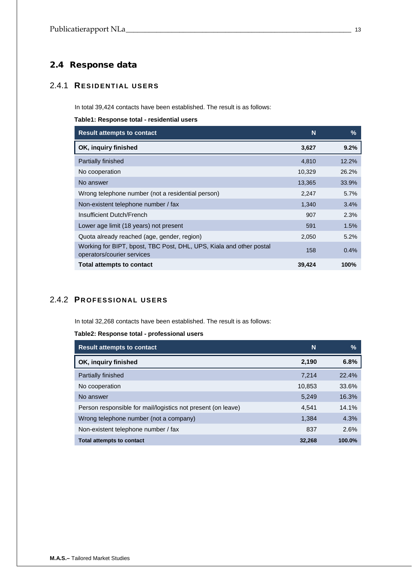# <span id="page-12-0"></span>2.4 Response data

## <span id="page-12-1"></span>2.4.1 **RESIDENTIAL USERS**

In total 39,424 contacts have been established. The result is as follows:

<span id="page-12-3"></span>**Table1: Response total - residential users**

| <b>Result attempts to contact</b>                                                                 | N      | $\frac{9}{6}$ |
|---------------------------------------------------------------------------------------------------|--------|---------------|
| OK, inquiry finished                                                                              | 3,627  | 9.2%          |
| Partially finished                                                                                | 4,810  | 12.2%         |
| No cooperation                                                                                    | 10,329 | 26.2%         |
| No answer                                                                                         | 13,365 | 33.9%         |
| Wrong telephone number (not a residential person)                                                 | 2,247  | 5.7%          |
| Non-existent telephone number / fax                                                               | 1,340  | 3.4%          |
| Insufficient Dutch/French                                                                         | 907    | 2.3%          |
| Lower age limit (18 years) not present                                                            | 591    | 1.5%          |
| Quota already reached (age, gender, region)                                                       | 2,050  | 5.2%          |
| Working for BIPT, bpost, TBC Post, DHL, UPS, Kiala and other postal<br>operators/courier services | 158    | 0.4%          |
| <b>Total attempts to contact</b>                                                                  | 39,424 | 100%          |

## <span id="page-12-2"></span>2.4.2 **PROFESSIONAL USERS**

In total 32,268 contacts have been established. The result is as follows:

## <span id="page-12-4"></span>**Table2: Response total - professional users**

| <b>Result attempts to contact</b>                            | N      | %      |
|--------------------------------------------------------------|--------|--------|
| OK, inquiry finished                                         | 2,190  | 6.8%   |
| Partially finished                                           | 7.214  | 22.4%  |
| No cooperation                                               | 10,853 | 33.6%  |
| No answer                                                    | 5.249  | 16.3%  |
| Person responsible for mail/logistics not present (on leave) | 4.541  | 14.1%  |
| Wrong telephone number (not a company)                       | 1.384  | 4.3%   |
| Non-existent telephone number / fax                          | 837    | 2.6%   |
| <b>Total attempts to contact</b>                             | 32,268 | 100.0% |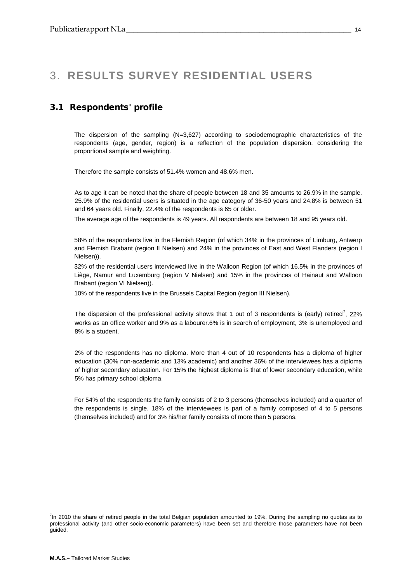# <span id="page-13-0"></span>3. **RESULTS SURVEY RESIDENTIAL USERS**

## <span id="page-13-1"></span>3.1 Respondents' profile

The dispersion of the sampling (N=3,627) according to sociodemographic characteristics of the respondents (age, gender, region) is a reflection of the population dispersion, considering the proportional sample and weighting.

Therefore the sample consists of 51.4% women and 48.6% men.

As to age it can be noted that the share of people between 18 and 35 amounts to 26.9% in the sample. 25.9% of the residential users is situated in the age category of 36-50 years and 24.8% is between 51 and 64 years old. Finally, 22.4% of the respondents is 65 or older.

The average age of the respondents is 49 years. All respondents are between 18 and 95 years old.

58% of the respondents live in the Flemish Region (of which 34% in the provinces of Limburg, Antwerp and Flemish Brabant (region II Nielsen) and 24% in the provinces of East and West Flanders (region I Nielsen)).

32% of the residential users interviewed live in the Walloon Region (of which 16.5% in the provinces of Liège, Namur and Luxemburg (region V Nielsen) and 15% in the provinces of Hainaut and Walloon Brabant (region VI Nielsen)).

10% of the respondents live in the Brussels Capital Region (region III Nielsen).

The dispersion of the professional activity shows that 1 out of 3 respondents is (early) retired<sup>[7](#page-13-2)</sup>, 22% works as an office worker and 9% as a labourer.6% is in search of employment, 3% is unemployed and 8% is a student.

2% of the respondents has no diploma. More than 4 out of 10 respondents has a diploma of higher education (30% non-academic and 13% academic) and another 36% of the interviewees has a diploma of higher secondary education. For 15% the highest diploma is that of lower secondary education, while 5% has primary school diploma.

For 54% of the respondents the family consists of 2 to 3 persons (themselves included) and a quarter of the respondents is single. 18% of the interviewees is part of a family composed of 4 to 5 persons (themselves included) and for 3% his/her family consists of more than 5 persons.

<span id="page-13-2"></span><sup>–&</sup>lt;br>7  $I$ n 2010 the share of retired people in the total Belgian population amounted to 19%. During the sampling no quotas as to professional activity (and other socio-economic parameters) have been set and therefore those parameters have not been guided.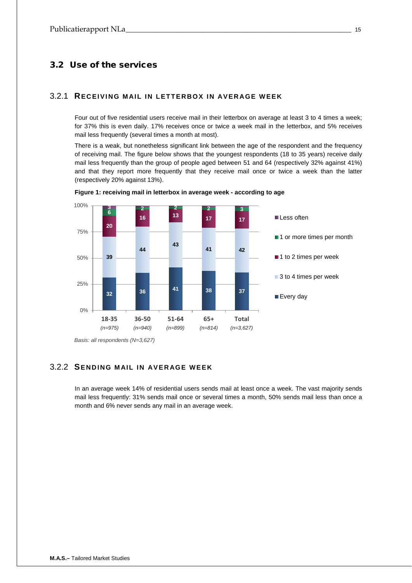## <span id="page-14-0"></span>3.2 Use of the services

## <span id="page-14-1"></span>3.2.1 **RECEIVING MAIL IN LETTERBOX IN AVERAGE WEE K**

Four out of five residential users receive mail in their letterbox on average at least 3 to 4 times a week; for 37% this is even daily. 17% receives once or twice a week mail in the letterbox, and 5% receives mail less frequently (several times a month at most).

There is a weak, but nonetheless significant link between the age of the respondent and the frequency of receiving mail. The figure below shows that the youngest respondents (18 to 35 years) receive daily mail less frequently than the group of people aged between 51 and 64 (respectively 32% against 41%) and that they report more frequently that they receive mail once or twice a week than the latter (respectively 20% against 13%).



**Figure 1: receiving mail in letterbox in average week - according to age**

## <span id="page-14-2"></span>3.2.2 **SENDING MAIL IN AVERAGE WEEK**

In an average week 14% of residential users sends mail at least once a week. The vast majority sends mail less frequently: 31% sends mail once or several times a month, 50% sends mail less than once a month and 6% never sends any mail in an average week.

*Basis: all respondents (N=3,627)*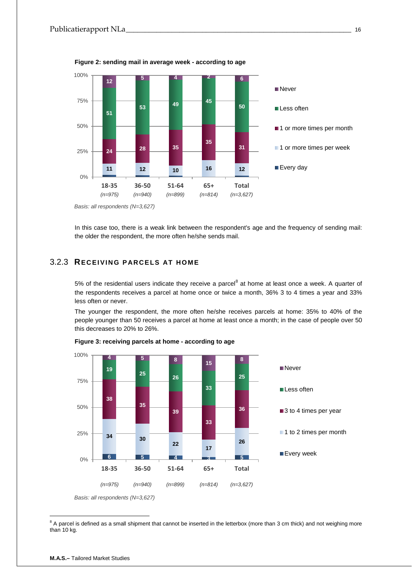

**Figure 2: sending mail in average week - according to age**

*Basis: all respondents (N=3,627)*

In this case too, there is a weak link between the respondent's age and the frequency of sending mail: the older the respondent, the more often he/she sends mail.

## <span id="page-15-0"></span>3.2.3 **RECEIVING PARCELS AT HOME**

5% of the residential users indicate they receive a parcel<sup>[8](#page-15-1)</sup> at home at least once a week. A quarter of the respondents receives a parcel at home once or twice a month, 36% 3 to 4 times a year and 33% less often or never.

The younger the respondent, the more often he/she receives parcels at home: 35% to 40% of the people younger than 50 receives a parcel at home at least once a month; in the case of people over 50 this decreases to 20% to 26%.



**Figure 3: receiving parcels at home - according to age**

<span id="page-15-1"></span><sup>8</sup> A parcel is defined as a small shipment that cannot be inserted in the letterbox (more than 3 cm thick) and not weighing more than 10 kg.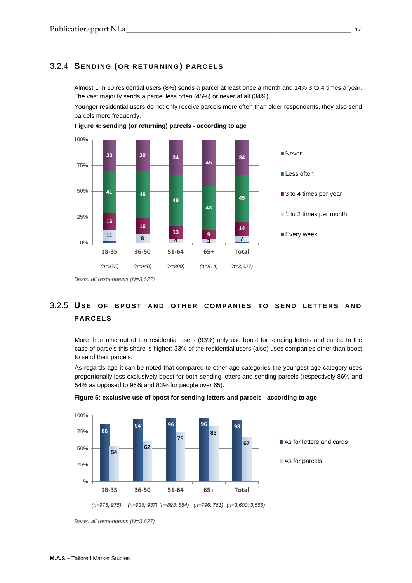## <span id="page-16-0"></span>3.2.4 **SENDING (OR RETURNING) PARCELS**

Almost 1 in 10 residential users (8%) sends a parcel at least once a month and 14% 3 to 4 times a year. The vast majority sends a parcel less often (45%) or never at all (34%).

Younger residential users do not only receive parcels more often than older respondents, they also send parcels more frequently.





# <span id="page-16-1"></span>3.2.5 **USE OF BPOST AND OTHER COMPANIES TO SEND LETTERS AND PARCELS**

More than nine out of ten residential users (93%) only use bpost for sending letters and cards. In the case of parcels this share is higher: 33% of the residential users (also) uses companies other than bpost to send their parcels.

As regards age it can be noted that compared to other age categories the youngest age category uses proportionally less exclusively bpost for both sending letters and sending parcels (respectively 86% and 54% as opposed to 96% and 83% for people over 65).





*Basis: all respondents (N=3,627)*

*Basis: all respondents (N=3,627)*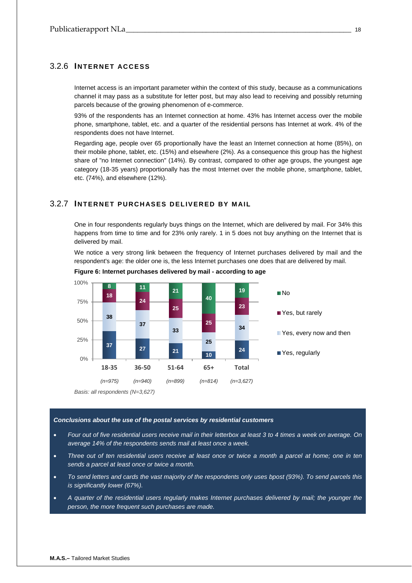## <span id="page-17-0"></span>3.2.6 **INTERNET ACCESS**

Internet access is an important parameter within the context of this study, because as a communications channel it may pass as a substitute for letter post, but may also lead to receiving and possibly returning parcels because of the growing phenomenon of e-commerce.

93% of the respondents has an Internet connection at home. 43% has Internet access over the mobile phone, smartphone, tablet, etc. and a quarter of the residential persons has Internet at work. 4% of the respondents does not have Internet.

Regarding age, people over 65 proportionally have the least an Internet connection at home (85%), on their mobile phone, tablet, etc. (15%) and elsewhere (2%). As a consequence this group has the highest share of "no Internet connection" (14%). By contrast, compared to other age groups, the youngest age category (18-35 years) proportionally has the most Internet over the mobile phone, smartphone, tablet, etc. (74%), and elsewhere (12%).

## <span id="page-17-1"></span>3.2.7 **INTERNET PURCHASES DELIVERED BY MAIL**

One in four respondents regularly buys things on the Internet, which are delivered by mail. For 34% this happens from time to time and for 23% only rarely. 1 in 5 does not buy anything on the Internet that is delivered by mail.

We notice a very strong link between the frequency of Internet purchases delivered by mail and the respondent's age: the older one is, the less Internet purchases one does that are delivered by mail.



**Figure 6: Internet purchases delivered by mail - according to age**

*Basis: all respondents (N=3,627)*

#### *Conclusions about the use of the postal services by residential customers*

- *Four out of five residential users receive mail in their letterbox at least 3 to 4 times a week on average. On average 14% of the respondents sends mail at least once a week.*
- *Three out of ten residential users receive at least once or twice a month a parcel at home; one in ten sends a parcel at least once or twice a month.*
- *To send letters and cards the vast majority of the respondents only uses bpost (93%). To send parcels this is significantly lower (67%).*
- *A quarter of the residential users regularly makes Internet purchases delivered by mail; the younger the person, the more frequent such purchases are made.*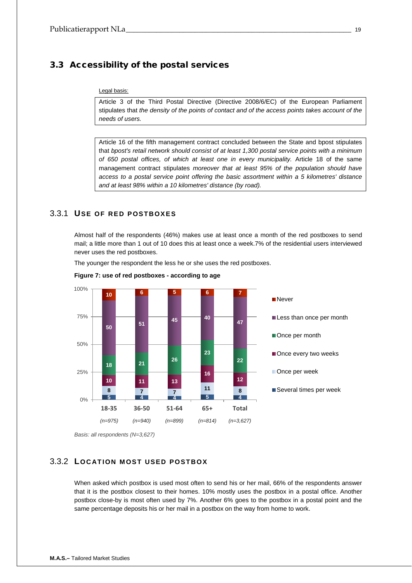## <span id="page-18-0"></span>3.3 Accessibility of the postal services

#### Legal basis:

Article 3 of the Third Postal Directive (Directive 2008/6/EC) of the European Parliament stipulates that *the density of the points of contact and of the access points takes account of the needs of users.*

Article 16 of the fifth management contract concluded between the State and bpost stipulates that *bpost's retail network should consist of at least 1,300 postal service points with a minimum of 650 postal offices, of which at least one in every municipality.* Article 18 of the same management contract stipulates *moreover that at least 95% of the population should have access to a postal service point offering the basic assortment within a 5 kilometres' distance and at least 98% within a 10 kilometres' distance (by road).* 

## <span id="page-18-1"></span>3.3.1 **USE OF RED POSTBOXES**

Almost half of the respondents (46%) makes use at least once a month of the red postboxes to send mail; a little more than 1 out of 10 does this at least once a week.7% of the residential users interviewed never uses the red postboxes.

The younger the respondent the less he or she uses the red postboxes.





## <span id="page-18-2"></span>3.3.2 **LOCATION MOST USED POSTBOX**

When asked which postbox is used most often to send his or her mail, 66% of the respondents answer that it is the postbox closest to their homes. 10% mostly uses the postbox in a postal office. Another postbox close-by is most often used by 7%. Another 6% goes to the postbox in a postal point and the same percentage deposits his or her mail in a postbox on the way from home to work.

*Basis: all respondents (N=3,627)*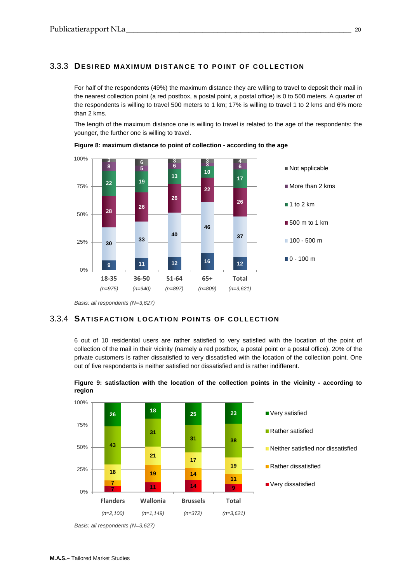## <span id="page-19-0"></span>3.3.3 **DESIRED MAXIMUM DISTANCE TO POINT OF COLLECTION**

For half of the respondents (49%) the maximum distance they are willing to travel to deposit their mail in the nearest collection point (a red postbox, a postal point, a postal office) is 0 to 500 meters. A quarter of the respondents is willing to travel 500 meters to 1 km; 17% is willing to travel 1 to 2 kms and 6% more than 2 kms.

The length of the maximum distance one is willing to travel is related to the age of the respondents: the younger, the further one is willing to travel.



**Figure 8: maximum distance to point of collection - according to the age**

## <span id="page-19-1"></span>3.3.4 **S ATISFACTION LOCATION POINTS OF COLLECTION**

6 out of 10 residential users are rather satisfied to very satisfied with the location of the point of collection of the mail in their vicinity (namely a red postbox, a postal point or a postal office). 20% of the private customers is rather dissatisfied to very dissatisfied with the location of the collection point. One out of five respondents is neither satisfied nor dissatisfied and is rather indifferent.



**Figure 9: satisfaction with the location of the collection points in the vicinity - according to region**

*Basis: all respondents (N=3,627)*

*Basis: all respondents (N=3,627)*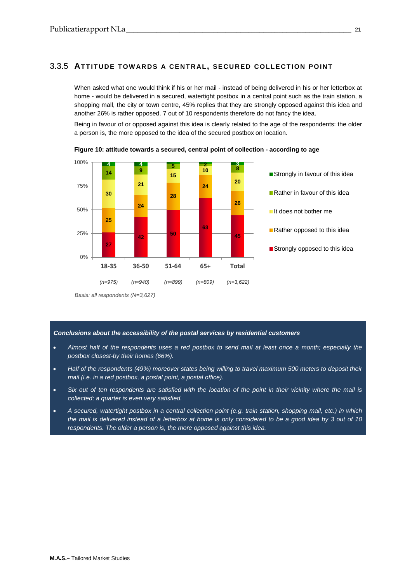## <span id="page-20-0"></span>3.3.5 **ATTITUDE TOWARDS A CENTRAL, SECURED COLLECTION POINT**

When asked what one would think if his or her mail - instead of being delivered in his or her letterbox at home - would be delivered in a secured, watertight postbox in a central point such as the train station, a shopping mall, the city or town centre, 45% replies that they are strongly opposed against this idea and another 26% is rather opposed. 7 out of 10 respondents therefore do not fancy the idea.

Being in favour of or opposed against this idea is clearly related to the age of the respondents: the older a person is, the more opposed to the idea of the secured postbox on location.



**Figure 10: attitude towards a secured, central point of collection - according to age**

*Basis: all respondents (N=3,627)*

## *Conclusions about the accessibility of the postal services by residential customers*

- *Almost half of the respondents uses a red postbox to send mail at least once a month; especially the postbox closest-by their homes (66%).*
- *Half of the respondents (49%) moreover states being willing to travel maximum 500 meters to deposit their mail (i.e. in a red postbox, a postal point, a postal office).*
- *Six out of ten respondents are satisfied with the location of the point in their vicinity where the mail is collected; a quarter is even very satisfied.*
- *A secured, watertight postbox in a central collection point (e.g. train station, shopping mall, etc.) in which the mail is delivered instead of a letterbox at home is only considered to be a good idea by 3 out of 10 respondents. The older a person is, the more opposed against this idea.*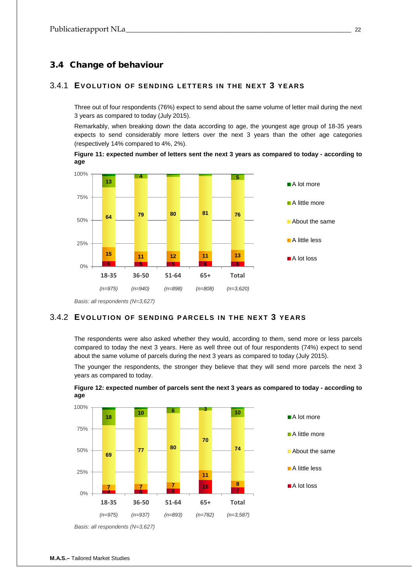## <span id="page-21-0"></span>3.4 Change of behaviour

## <span id="page-21-1"></span>3.4.1 **EVOLUTION OF SENDING LETTERS IN THE NEXT 3 YEARS**

Three out of four respondents (76%) expect to send about the same volume of letter mail during the next 3 years as compared to today (July 2015).

Remarkably, when breaking down the data according to age, the youngest age group of 18-35 years expects to send considerably more letters over the next 3 years than the other age categories (respectively 14% compared to 4%, 2%).

**Figure 11: expected number of letters sent the next 3 years as compared to today - according to age**



*Basis: all respondents (N=3,627)*

## <span id="page-21-2"></span>3.4.2 **EVOLUTION OF SENDING PARCELS IN THE NEXT 3 YEARS**

The respondents were also asked whether they would, according to them, send more or less parcels compared to today the next 3 years. Here as well three out of four respondents (74%) expect to send about the same volume of parcels during the next 3 years as compared to today (July 2015).

The younger the respondents, the stronger they believe that they will send more parcels the next 3 years as compared to today.





*Basis: all respondents (N=3,627)*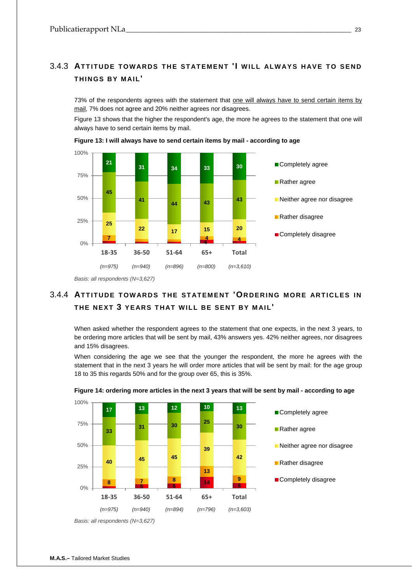## <span id="page-22-0"></span>3.4.3 **ATTITUDE TOWARDS THE STATEMENT 'I WILL ALWAYS HAVE TO SEND THINGS BY MAIL'**

73% of the respondents agrees with the statement that one will always have to send certain items by mail, 7% does not agree and 20% neither agrees nor disagrees.

Figure 13 shows that the higher the respondent's age, the more he agrees to the statement that one will always have to send certain items by mail.



**Figure 13: I will always have to send certain items by mail - according to age**

## <span id="page-22-1"></span>3.4.4 **ATTITUDE TOWARDS THE STATEMENT 'ORDERING MORE ARTICLES IN THE NEXT 3 YEARS THAT WILL BE SENT BY MAIL'**

When asked whether the respondent agrees to the statement that one expects, in the next 3 years, to be ordering more articles that will be sent by mail, 43% answers yes. 42% neither agrees, nor disagrees and 15% disagrees.

When considering the age we see that the younger the respondent, the more he agrees with the statement that in the next 3 years he will order more articles that will be sent by mail: for the age group 18 to 35 this regards 50% and for the group over 65, this is 35%.



## **Figure 14: ordering more articles in the next 3 years that will be sent by mail - according to age**

*Basis: all respondents (N=3,627)*

*Basis: all respondents (N=3,627)*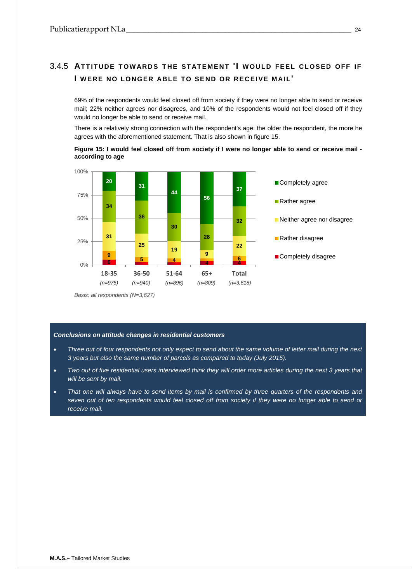# <span id="page-23-0"></span>3.4.5 **ATTITUDE TOWARDS THE STATEMENT 'I WOULD FEEL CLOSED OFF IF I WERE NO LONGER ABLE TO SEND OR RECEIVE M AIL'**

69% of the respondents would feel closed off from society if they were no longer able to send or receive mail; 22% neither agrees nor disagrees, and 10% of the respondents would not feel closed off if they would no longer be able to send or receive mail.

There is a relatively strong connection with the respondent's age: the older the respondent, the more he agrees with the aforementioned statement. That is also shown in figure 15.





*Basis: all respondents (N=3,627)*

## *Conclusions on attitude changes in residential customers*

- *Three out of four respondents not only expect to send about the same volume of letter mail during the next 3 years but also the same number of parcels as compared to today (July 2015).*
- *Two out of five residential users interviewed think they will order more articles during the next 3 years that will be sent by mail.*
- *That one will always have to send items by mail is confirmed by three quarters of the respondents and seven out of ten respondents would feel closed off from society if they were no longer able to send or receive mail.*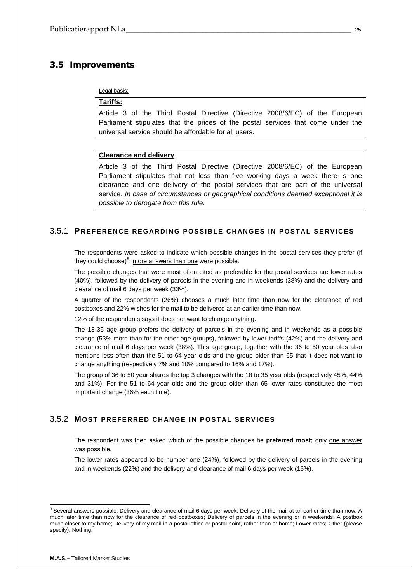## <span id="page-24-0"></span>3.5 Improvements

#### Legal basis:

## **Tariffs:**

Article 3 of the Third Postal Directive (Directive 2008/6/EC) of the European Parliament stipulates that the prices of the postal services that come under the universal service should be affordable for all users.

## **Clearance and delivery**

Article 3 of the Third Postal Directive (Directive 2008/6/EC) of the European Parliament stipulates that not less than five working days a week there is one clearance and one delivery of the postal services that are part of the universal service. *In case of circumstances or geographical conditions deemed exceptional it is possible to derogate from this rule.*

## <span id="page-24-1"></span>3.5.1 **PREFERENCE REGARDING POSSIBLE CHANGES IN POSTAL SERVICES**

The respondents were asked to indicate which possible changes in the postal services they prefer (if they could choose)<sup>[9](#page-24-3)</sup>; <u>more answers than one</u> were possible.

The possible changes that were most often cited as preferable for the postal services are lower rates (40%), followed by the delivery of parcels in the evening and in weekends (38%) and the delivery and clearance of mail 6 days per week (33%).

A quarter of the respondents (26%) chooses a much later time than now for the clearance of red postboxes and 22% wishes for the mail to be delivered at an earlier time than now.

12% of the respondents says it does not want to change anything.

The 18-35 age group prefers the delivery of parcels in the evening and in weekends as a possible change (53% more than for the other age groups), followed by lower tariffs (42%) and the delivery and clearance of mail 6 days per week (38%). This age group, together with the 36 to 50 year olds also mentions less often than the 51 to 64 year olds and the group older than 65 that it does not want to change anything (respectively 7% and 10% compared to 16% and 17%).

The group of 36 to 50 year shares the top 3 changes with the 18 to 35 year olds (respectively 45%, 44% and 31%). For the 51 to 64 year olds and the group older than 65 lower rates constitutes the most important change (36% each time).

## <span id="page-24-2"></span>3.5.2 **MOST PREFERRED CHANGE IN POSTAL SERVICES**

The respondent was then asked which of the possible changes he **preferred most;** only one answer was possible.

The lower rates appeared to be number one (24%), followed by the delivery of parcels in the evening and in weekends (22%) and the delivery and clearance of mail 6 days per week (16%).

<span id="page-24-3"></span><sup>&</sup>lt;sup>9</sup> Several answers possible: Delivery and clearance of mail 6 days per week; Delivery of the mail at an earlier time than now; A much later time than now for the clearance of red postboxes; Delivery of parcels in the evening or in weekends; A postbox much closer to my home; Delivery of my mail in a postal office or postal point, rather than at home; Lower rates; Other (please specify); Nothing.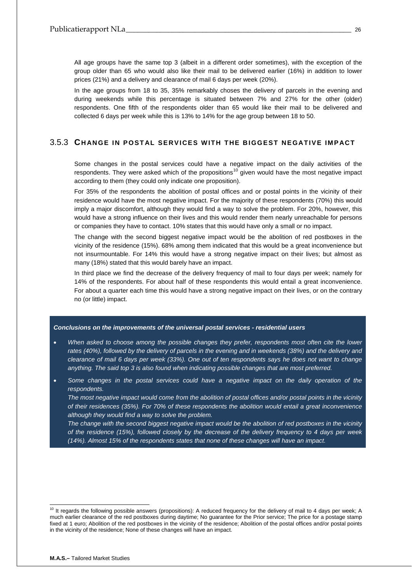All age groups have the same top 3 (albeit in a different order sometimes), with the exception of the group older than 65 who would also like their mail to be delivered earlier (16%) in addition to lower prices (21%) and a delivery and clearance of mail 6 days per week (20%).

In the age groups from 18 to 35, 35% remarkably choses the delivery of parcels in the evening and during weekends while this percentage is situated between 7% and 27% for the other (older) respondents. One fifth of the respondents older than 65 would like their mail to be delivered and collected 6 days per week while this is 13% to 14% for the age group between 18 to 50.

## <span id="page-25-0"></span>3.5.3 **CHANGE IN POSTAL SERVICES WITH THE BIGGEST NEGATIVE IMPACT**

Some changes in the postal services could have a negative impact on the daily activities of the respondents. They were asked which of the propositions<sup>[10](#page-25-1)</sup> given would have the most negative impact according to them (they could only indicate one proposition).

For 35% of the respondents the abolition of postal offices and or postal points in the vicinity of their residence would have the most negative impact. For the majority of these respondents (70%) this would imply a major discomfort, although they would find a way to solve the problem. For 20%, however, this would have a strong influence on their lives and this would render them nearly unreachable for persons or companies they have to contact. 10% states that this would have only a small or no impact.

The change with the second biggest negative impact would be the abolition of red postboxes in the vicinity of the residence (15%). 68% among them indicated that this would be a great inconvenience but not insurmountable. For 14% this would have a strong negative impact on their lives; but almost as many (18%) stated that this would barely have an impact.

In third place we find the decrease of the delivery frequency of mail to four days per week; namely for 14% of the respondents. For about half of these respondents this would entail a great inconvenience. For about a quarter each time this would have a strong negative impact on their lives, or on the contrary no (or little) impact.

#### *Conclusions on the improvements of the universal postal services - residential users*

- *When asked to choose among the possible changes they prefer, respondents most often cite the lower*  rates (40%), followed by the delivery of parcels in the evening and in weekends (38%) and the delivery and *clearance of mail 6 days per week (33%). One out of ten respondents says he does not want to change anything. The said top 3 is also found when indicating possible changes that are most preferred.*
- *Some changes in the postal services could have a negative impact on the daily operation of the respondents.*

*The most negative impact would come from the abolition of postal offices and/or postal points in the vicinity of their residences (35%). For 70% of these respondents the abolition would entail a great inconvenience although they would find a way to solve the problem.* 

*The change with the second biggest negative impact would be the abolition of red postboxes in the vicinity of the residence (15%), followed closely by the decrease of the delivery frequency to 4 days per week (14%). Almost 15% of the respondents states that none of these changes will have an impact.*

<span id="page-25-1"></span><sup>&</sup>lt;sup>10</sup> It regards the following possible answers (propositions): A reduced frequency for the delivery of mail to 4 days per week; A much earlier clearance of the red postboxes during daytime; No guarantee for the Prior service; The price for a postage stamp fixed at 1 euro; Abolition of the red postboxes in the vicinity of the residence; Abolition of the postal offices and/or postal points in the vicinity of the residence; None of these changes will have an impact.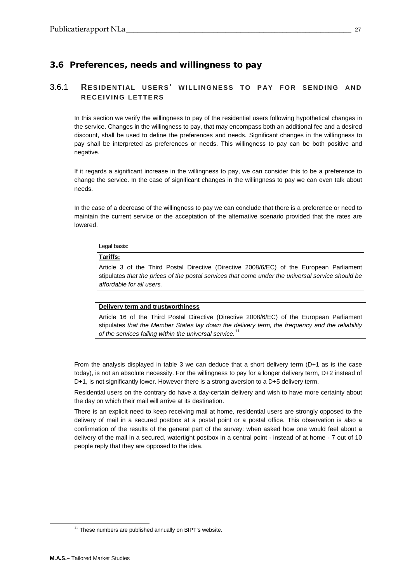## <span id="page-26-0"></span>3.6 Preferences, needs and willingness to pay

## <span id="page-26-1"></span>3.6.1 **RESIDENTIAL USERS' WILLINGNESS TO PAY FOR SENDING AND RECEIVING LETTERS**

In this section we verify the willingness to pay of the residential users following hypothetical changes in the service. Changes in the willingness to pay, that may encompass both an additional fee and a desired discount, shall be used to define the preferences and needs. Significant changes in the willingness to pay shall be interpreted as preferences or needs. This willingness to pay can be both positive and negative.

If it regards a significant increase in the willingness to pay, we can consider this to be a preference to change the service. In the case of significant changes in the willingness to pay we can even talk about needs.

In the case of a decrease of the willingness to pay we can conclude that there is a preference or need to maintain the current service or the acceptation of the alternative scenario provided that the rates are lowered.

Legal basis:

## **Tariffs:**

Article 3 of the Third Postal Directive (Directive 2008/6/EC) of the European Parliament stipulates *that the prices of the postal services that come under the universal service should be affordable for all users.*

## **Delivery term and trustworthiness**

Article 16 of the Third Postal Directive (Directive 2008/6/EC) of the European Parliament stipulates *that the Member States lay down the delivery term, the frequency and the reliability of the services falling within the universal service.*[11](#page-26-2)

From the analysis displayed in table 3 we can deduce that a short delivery term (D+1 as is the case today), is not an absolute necessity. For the willingness to pay for a longer delivery term, D+2 instead of D+1, is not significantly lower. However there is a strong aversion to a D+5 delivery term.

Residential users on the contrary do have a day-certain delivery and wish to have more certainty about the day on which their mail will arrive at its destination.

There is an explicit need to keep receiving mail at home, residential users are strongly opposed to the delivery of mail in a secured postbox at a postal point or a postal office. This observation is also a confirmation of the results of the general part of the survey: when asked how one would feel about a delivery of the mail in a secured, watertight postbox in a central point - instead of at home - 7 out of 10 people reply that they are opposed to the idea.

<span id="page-26-2"></span><sup>&</sup>lt;sup>11</sup> These numbers are published annually on BIPT's website.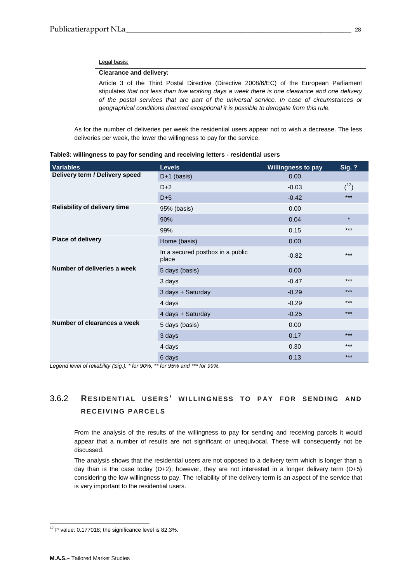#### Legal basis:

## **Clearance and delivery:**

Article 3 of the Third Postal Directive (Directive 2008/6/EC) of the European Parliament stipulates *that not less than five working days a week there is one clearance and one delivery of the postal services that are part of the universal service. In case of circumstances or geographical conditions deemed exceptional it is possible to derogate from this rule.*

As for the number of deliveries per week the residential users appear not to wish a decrease. The less deliveries per week, the lower the willingness to pay for the service.

<span id="page-27-1"></span>

| <b>Variables</b>                    | <b>Levels</b>                             | <b>Willingness to pay</b> | <b>Sig. ?</b> |
|-------------------------------------|-------------------------------------------|---------------------------|---------------|
| Delivery term / Delivery speed      | $D+1$ (basis)                             | 0.00                      |               |
|                                     | $D+2$                                     | $-0.03$                   | $(1^2)$       |
|                                     | $D+5$                                     | $-0.42$                   | $***$         |
| <b>Reliability of delivery time</b> | 95% (basis)                               | 0.00                      |               |
|                                     | 90%                                       | 0.04                      | $\star$       |
|                                     | 99%                                       | 0.15                      | $***$         |
| Place of delivery                   | Home (basis)                              | 0.00                      |               |
|                                     | In a secured postbox in a public<br>place | $-0.82$                   | ***           |
| Number of deliveries a week         | 5 days (basis)                            | 0.00                      |               |
|                                     | 3 days                                    | $-0.47$                   | ***           |
|                                     | 3 days + Saturday                         | $-0.29$                   | $***$         |
|                                     | 4 days                                    | $-0.29$                   | ***           |
|                                     | 4 days + Saturday                         | $-0.25$                   | $***$         |
| Number of clearances a week         | 5 days (basis)                            | 0.00                      |               |
|                                     | 3 days                                    | 0.17                      | ***           |
|                                     | 4 days                                    | 0.30                      | ***           |
|                                     | 6 days                                    | 0.13                      | $***$         |

*Legend level of reliability (Sig.): \* for 90%, \*\* for 95% and \*\*\* for 99%.*

# <span id="page-27-0"></span>3.6.2 **RESIDENTIAL USERS' WILLINGNESS TO PAY FOR SENDING AND RECEIVING PARCELS**

From the analysis of the results of the willingness to pay for sending and receiving parcels it would appear that a number of results are not significant or unequivocal. These will consequently not be discussed.

The analysis shows that the residential users are not opposed to a delivery term which is longer than a day than is the case today (D+2); however, they are not interested in a longer delivery term (D+5) considering the low willingness to pay. The reliability of the delivery term is an aspect of the service that is very important to the residential users.

<span id="page-27-2"></span><sup>&</sup>lt;sup>12</sup> P value: 0.177018; the significance level is 82.3%.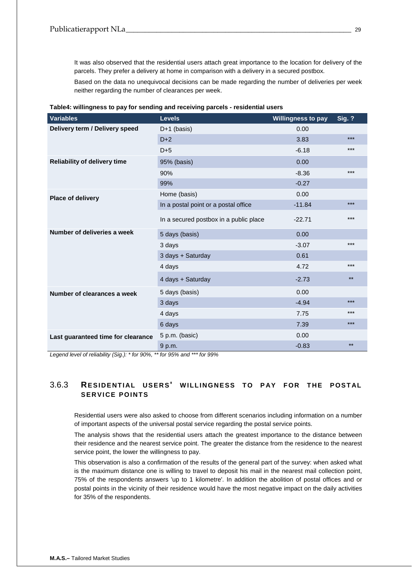It was also observed that the residential users attach great importance to the location for delivery of the parcels. They prefer a delivery at home in comparison with a delivery in a secured postbox.

Based on the data no unequivocal decisions can be made regarding the number of deliveries per week neither regarding the number of clearances per week.

| <b>Variables</b>                    | <b>Levels</b>                          | <b>Willingness to pay</b> | <b>Sig. ?</b> |
|-------------------------------------|----------------------------------------|---------------------------|---------------|
| Delivery term / Delivery speed      | $D+1$ (basis)                          | 0.00                      |               |
|                                     | $D+2$                                  | 3.83                      | $***$         |
|                                     | $D+5$                                  | $-6.18$                   | $***$         |
| <b>Reliability of delivery time</b> | 95% (basis)                            | 0.00                      |               |
|                                     | 90%                                    | $-8.36$                   | $***$         |
|                                     | 99%                                    | $-0.27$                   |               |
| Place of delivery                   | Home (basis)                           | 0.00                      |               |
|                                     | In a postal point or a postal office   | $-11.84$                  | $***$         |
|                                     | In a secured postbox in a public place | $-22.71$                  | $***$         |
| Number of deliveries a week         | 5 days (basis)                         | 0.00                      |               |
|                                     | 3 days                                 | $-3.07$                   | $***$         |
|                                     | 3 days + Saturday                      | 0.61                      |               |
|                                     | 4 days                                 | 4.72                      | $***$         |
|                                     | 4 days + Saturday                      | $-2.73$                   | $***$         |
| Number of clearances a week         | 5 days (basis)                         | 0.00                      |               |
|                                     | 3 days                                 | $-4.94$                   | $***$         |
|                                     | 4 days                                 | 7.75                      | $***$         |
|                                     | 6 days                                 | 7.39                      | $***$         |
| Last guaranteed time for clearance  | 5 p.m. (basic)                         | 0.00                      |               |
|                                     | 9 p.m.                                 | $-0.83$                   | $***$         |

<span id="page-28-1"></span>**Table4: willingness to pay for sending and receiving parcels - residential users**

*Legend level of reliability (Sig.): \* for 90%, \*\* for 95% and \*\*\* for 99%* 

## <span id="page-28-0"></span>3.6.3 **RESIDENTIAL USERS' WILLINGNESS TO PAY FOR THE POSTAL SERVICE POINTS**

Residential users were also asked to choose from different scenarios including information on a number of important aspects of the universal postal service regarding the postal service points.

The analysis shows that the residential users attach the greatest importance to the distance between their residence and the nearest service point. The greater the distance from the residence to the nearest service point, the lower the willingness to pay.

This observation is also a confirmation of the results of the general part of the survey: when asked what is the maximum distance one is willing to travel to deposit his mail in the nearest mail collection point, 75% of the respondents answers 'up to 1 kilometre'. In addition the abolition of postal offices and or postal points in the vicinity of their residence would have the most negative impact on the daily activities for 35% of the respondents.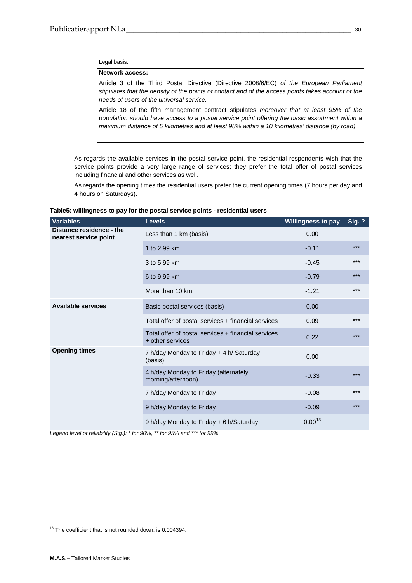Legal basis:

## **Network access:**

Article 3 of the Third Postal Directive (Directive 2008/6/EC) *of the European Parliament stipulates that the density of the points of contact and of the access points takes account of the needs of users of the universal service.*

Article 18 of the fifth management contract stipulates *moreover that at least 95% of the population should have access to a postal service point offering the basic assortment within a maximum distance of 5 kilometres and at least 98% within a 10 kilometres' distance (by road).* 

As regards the available services in the postal service point, the residential respondents wish that the service points provide a very large range of services; they prefer the total offer of postal services including financial and other services as well.

As regards the opening times the residential users prefer the current opening times (7 hours per day and 4 hours on Saturdays).

| Variables                                         | <b>Levels</b>                                                           | <b>Willingness to pay</b> | <b>Sig. ?</b> |
|---------------------------------------------------|-------------------------------------------------------------------------|---------------------------|---------------|
| Distance residence - the<br>nearest service point | Less than 1 km (basis)                                                  | 0.00                      |               |
|                                                   | 1 to 2.99 km                                                            | $-0.11$                   | ***           |
|                                                   | 3 to 5.99 km                                                            | $-0.45$                   | $***$         |
|                                                   | 6 to 9.99 km                                                            | $-0.79$                   | $***$         |
|                                                   | More than 10 km                                                         | $-1.21$                   | $***$         |
| <b>Available services</b>                         | Basic postal services (basis)                                           | 0.00                      |               |
|                                                   | Total offer of postal services + financial services                     | 0.09                      | $***$         |
|                                                   | Total offer of postal services + financial services<br>+ other services | 0.22                      | ***           |
| <b>Opening times</b>                              | 7 h/day Monday to Friday + 4 h/ Saturday<br>(basis)                     | 0.00                      |               |
|                                                   | 4 h/day Monday to Friday (alternately<br>morning/afternoon)             | $-0.33$                   | $***$         |
|                                                   | 7 h/day Monday to Friday                                                | $-0.08$                   | $***$         |
|                                                   | 9 h/day Monday to Friday                                                | $-0.09$                   | $***$         |
|                                                   | 9 h/day Monday to Friday + 6 h/Saturday                                 | $0.00^{13}$               |               |

## <span id="page-29-0"></span>**Table5: willingness to pay for the postal service points - residential users**

*Legend level of reliability (Sig.): \* for 90%, \*\* for 95% and \*\*\* for 99%* 

<span id="page-29-1"></span><sup>&</sup>lt;sup>13</sup> The coefficient that is not rounded down, is 0.004394.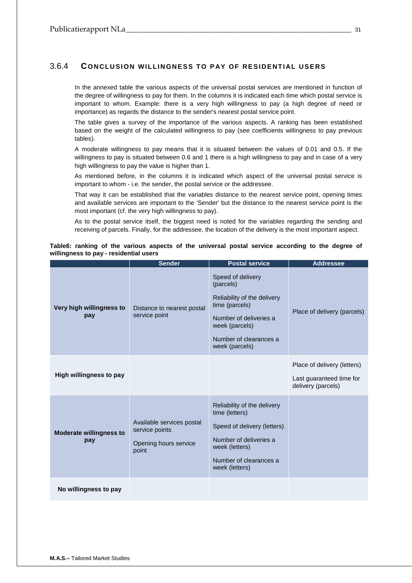## <span id="page-30-0"></span>3.6.4 **CONCLUSION WILLINGNESS TO PAY OF RESIDENTIAL USERS**

In the annexed table the various aspects of the universal postal services are mentioned in function of the degree of willingness to pay for them. In the columns it is indicated each time which postal service is important to whom. Example: there is a very high willingness to pay (a high degree of need or importance) as regards the distance to the sender's nearest postal service point.

The table gives a survey of the importance of the various aspects. A ranking has been established based on the weight of the calculated willingness to pay (see coefficients willingness to pay previous tables).

A moderate willingness to pay means that it is situated between the values of 0.01 and 0.5. If the willingness to pay is situated between 0.6 and 1 there is a high willingness to pay and in case of a very high willingness to pay the value is higher than 1.

As mentioned before, in the columns it is indicated which aspect of the universal postal service is important to whom - i.e. the sender, the postal service or the addressee.

That way it can be established that the variables distance to the nearest service point, opening times and available services are important to the 'Sender' but the distance to the nearest service point is the most important (cf. the very high willingness to pay).

As to the postal service itself, the biggest need is noted for the variables regarding the sending and receiving of parcels. Finally, for the addressee, the location of the delivery is the most important aspect.

<span id="page-30-1"></span>

|  |                                        |  |  |  | Table6: ranking of the various aspects of the universal postal service according to the degree of |  |  |
|--|----------------------------------------|--|--|--|---------------------------------------------------------------------------------------------------|--|--|
|  | willingness to pay - residential users |  |  |  |                                                                                                   |  |  |

|                                       | <b>Sender</b>                                                                 | <b>Postal service</b>                                                                                                                                                   | <b>Addressee</b>                                                              |
|---------------------------------------|-------------------------------------------------------------------------------|-------------------------------------------------------------------------------------------------------------------------------------------------------------------------|-------------------------------------------------------------------------------|
| Very high willingness to<br>pay       | Distance to nearest postal<br>service point                                   | Speed of delivery<br>(parcels)<br>Reliability of the delivery<br>time (parcels)<br>Number of deliveries a<br>week (parcels)<br>Number of clearances a<br>week (parcels) | Place of delivery (parcels)                                                   |
| High willingness to pay               |                                                                               |                                                                                                                                                                         | Place of delivery (letters)<br>Last guaranteed time for<br>delivery (parcels) |
| <b>Moderate willingness to</b><br>pay | Available services postal<br>service points<br>Opening hours service<br>point | Reliability of the delivery<br>time (letters)<br>Speed of delivery (letters)<br>Number of deliveries a<br>week (letters)<br>Number of clearances a<br>week (letters)    |                                                                               |
| No willingness to pay                 |                                                                               |                                                                                                                                                                         |                                                                               |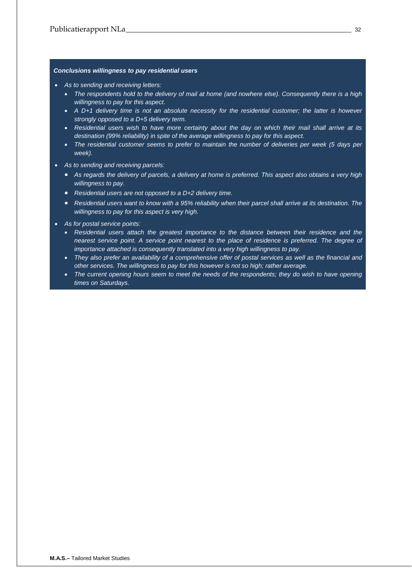## *Conclusions willingness to pay residential users*

- *As to sending and receiving letters:* 
	- *The respondents hold to the delivery of mail at home (and nowhere else). Consequently there is a high willingness to pay for this aspect.*
	- *A D+1 delivery time is not an absolute necessity for the residential customer; the latter is however strongly opposed to a D+5 delivery term.*
	- *Residential users wish to have more certainty about the day on which their mail shall arrive at its destination (99% reliability) in spite of the average willingness to pay for this aspect.*
	- *The residential customer seems to prefer to maintain the number of deliveries per week (5 days per week).*
- *As to sending and receiving parcels:* 
	- *As regards the delivery of parcels, a delivery at home is preferred. This aspect also obtains a very high willingness to pay.*
	- *Residential users are not opposed to a D+2 delivery time.*
	- *Residential users want to know with a 95% reliability when their parcel shall arrive at its destination. The willingness to pay for this aspect is very high.*
- *As for postal service points:* 
	- *Residential users attach the greatest importance to the distance between their residence and the nearest service point. A service point nearest to the place of residence is preferred. The degree of importance attached is consequently translated into a very high willingness to pay.*
	- *They also prefer an availability of a comprehensive offer of postal services as well as the financial and other services. The willingness to pay for this however is not so high; rather average.*
	- *The current opening hours seem to meet the needs of the respondents; they do wish to have opening times on Saturdays.*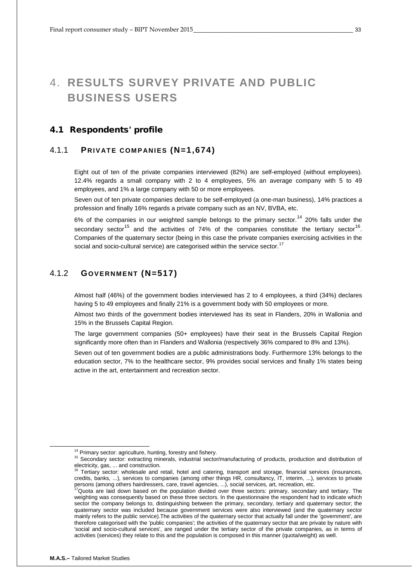# <span id="page-32-0"></span>4. **RESULTS SURVEY PRIVATE AND PUBLIC BUSINESS USERS**

## <span id="page-32-1"></span>4.1 Respondents' profile

## <span id="page-32-2"></span>4.1.1 **PRIVATE COMPANIES (N=1,674)**

Eight out of ten of the private companies interviewed (82%) are self-employed (without employees). 12.4% regards a small company with 2 to 4 employees, 5% an average company with 5 to 49 employees, and 1% a large company with 50 or more employees.

Seven out of ten private companies declare to be self-employed (a one-man business), 14% practices a profession and finally 16% regards a private company such as an NV, BVBA, etc.

6% of the companies in our weighted sample belongs to the primary sector.<sup>[14](#page-32-4)</sup> 20% falls under the secondary sector<sup>[15](#page-32-5)</sup> and the activities of 74% of the companies constitute the tertiary sector<sup>16</sup>. Companies of the quaternary sector (being in this case the private companies exercising activities in the social and socio-cultural service) are categorised within the service sector.<sup>[17](#page-32-7)</sup>

## <span id="page-32-3"></span>4.1.2 **GOVERNMENT (N=517)**

Almost half (46%) of the government bodies interviewed has 2 to 4 employees, a third (34%) declares having 5 to 49 employees and finally 21% is a government body with 50 employees or more.

Almost two thirds of the government bodies interviewed has its seat in Flanders, 20% in Wallonia and 15% in the Brussels Capital Region.

The large government companies (50+ employees) have their seat in the Brussels Capital Region significantly more often than in Flanders and Wallonia (respectively 36% compared to 8% and 13%).

Seven out of ten government bodies are a public administrations body. Furthermore 13% belongs to the education sector, 7% to the healthcare sector, 9% provides social services and finally 1% states being active in the art, entertainment and recreation sector.

<span id="page-32-5"></span><span id="page-32-4"></span><sup>&</sup>lt;sup>14</sup> Primary sector: agriculture, hunting, forestry and fishery.<br><sup>15</sup> Secondary sector: extracting minerals, industrial sector/manufacturing of products, production and distribution of electricity, gas, ... and construction.

<span id="page-32-6"></span>Tertiary sector: wholesale and retail, hotel and catering, transport and storage, financial services (insurances, credits, banks, ...), services to companies (among other things HR, consultancy, IT, interim, ...), services to private persons (among others hairdressers, care, travel agencies, ...), social services, art, recreation, etc.

<span id="page-32-7"></span><sup>17</sup>Quota are laid down based on the population divided over three sectors: primary, secondary and tertiary. The weighting was consequently based on these three sectors. In the questionnaire the respondent had to indicate which sector the company belongs to, distinguishing between the primary, secondary, tertiary and quaternary sector; the quaternary sector was included because government services were also interviewed (and the quaternary sector mainly refers to the public service).The activities of the quaternary sector that actually fall under the 'government', are therefore categorised with the 'public companies'; the activities of the quaternary sector that are private by nature with 'social and socio-cultural services', are ranged under the tertiary sector of the private companies, as in terms of activities (services) they relate to this and the population is composed in this manner (quota/weight) as well.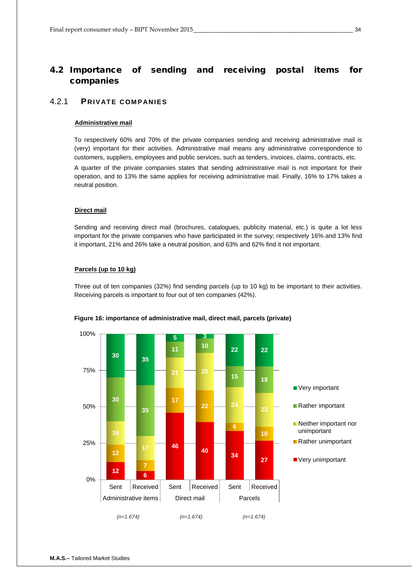## <span id="page-33-0"></span>4.2 Importance of sending and receiving postal items for companies

## <span id="page-33-1"></span>4.2.1 **PRIVATE COMPANIES**

#### **Administrative mail**

To respectively 60% and 70% of the private companies sending and receiving administrative mail is (very) important for their activities. Administrative mail means any administrative correspondence to customers, suppliers, employees and public services, such as tenders, invoices, claims, contracts, etc.

A quarter of the private companies states that sending administrative mail is not important for their operation, and to 13% the same applies for receiving administrative mail. Finally, 16% to 17% takes a neutral position.

## **Direct mail**

Sending and receiving direct mail (brochures, catalogues, publicity material, etc.) is quite a lot less important for the private companies who have participated in the survey; respectively 16% and 13% find it important, 21% and 26% take a neutral position, and 63% and 62% find it not important.

#### **Parcels (up to 10 kg)**

Three out of ten companies (32%) find sending parcels (up to 10 kg) to be important to their activities. Receiving parcels is important to four out of ten companies (42%).



## **Figure 16: importance of administrative mail, direct mail, parcels (private)**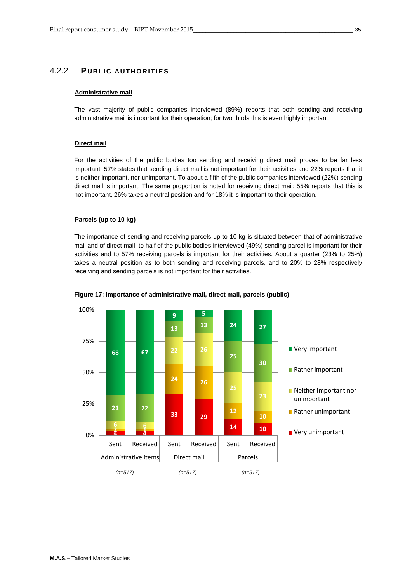## <span id="page-34-0"></span>4.2.2 **PUBLIC AUTHORITIES**

#### **Administrative mail**

The vast majority of public companies interviewed (89%) reports that both sending and receiving administrative mail is important for their operation; for two thirds this is even highly important.

#### **Direct mail**

For the activities of the public bodies too sending and receiving direct mail proves to be far less important. 57% states that sending direct mail is not important for their activities and 22% reports that it is neither important, nor unimportant. To about a fifth of the public companies interviewed (22%) sending direct mail is important. The same proportion is noted for receiving direct mail: 55% reports that this is not important, 26% takes a neutral position and for 18% it is important to their operation.

#### **Parcels (up to 10 kg)**

The importance of sending and receiving parcels up to 10 kg is situated between that of administrative mail and of direct mail: to half of the public bodies interviewed (49%) sending parcel is important for their activities and to 57% receiving parcels is important for their activities. About a quarter (23% to 25%) takes a neutral position as to both sending and receiving parcels, and to 20% to 28% respectively receiving and sending parcels is not important for their activities.



#### **Figure 17: importance of administrative mail, direct mail, parcels (public)**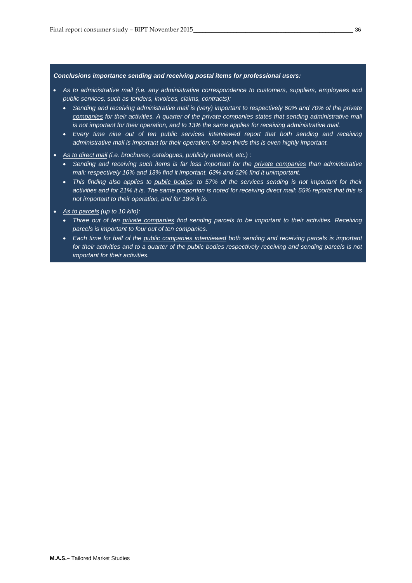#### *Conclusions importance sending and receiving postal items for professional users:*

- *As to administrative mail (i.e. any administrative correspondence to customers, suppliers, employees and public services, such as tenders, invoices, claims, contracts):* 
	- Sending and receiving administrative mail is (very) important to respectively 60% and 70% of the *private companies for their activities. A quarter of the private companies states that sending administrative mail is not important for their operation, and to 13% the same applies for receiving administrative mail.*
	- *Every time nine out of ten public services interviewed report that both sending and receiving administrative mail is important for their operation; for two thirds this is even highly important.*
- *As to direct mail (i.e. brochures, catalogues, publicity material, etc.) :* 
	- *Sending and receiving such items is far less important for the private companies than administrative mail: respectively 16% and 13% find it important, 63% and 62% find it unimportant.*
	- *This finding also applies to public bodies: to 57% of the services sending is not important for their activities and for 21% it is. The same proportion is noted for receiving direct mail: 55% reports that this is not important to their operation, and for 18% it is.*
- *As to parcels (up to 10 kilo):* 
	- *Three out of ten private companies find sending parcels to be important to their activities. Receiving parcels is important to four out of ten companies.*
	- *Each time for half of the public companies interviewed both sending and receiving parcels is important for their activities and to a quarter of the public bodies respectively receiving and sending parcels is not important for their activities.*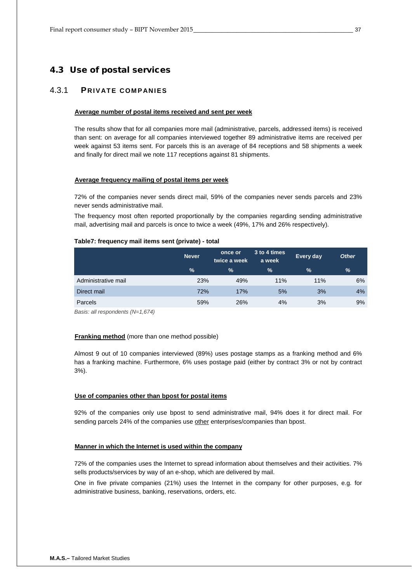## <span id="page-36-0"></span>4.3 Use of postal services

## <span id="page-36-1"></span>4.3.1 **PRIVATE COMPANIES**

#### **Average number of postal items received and sent per week**

The results show that for all companies more mail (administrative, parcels, addressed items) is received than sent: on average for all companies interviewed together 89 administrative items are received per week against 53 items sent. For parcels this is an average of 84 receptions and 58 shipments a week and finally for direct mail we note 117 receptions against 81 shipments.

#### **Average frequency mailing of postal items per week**

72% of the companies never sends direct mail, 59% of the companies never sends parcels and 23% never sends administrative mail.

The frequency most often reported proportionally by the companies regarding sending administrative mail, advertising mail and parcels is once to twice a week (49%, 17% and 26% respectively).

#### <span id="page-36-2"></span>**Table7: frequency mail items sent (private) - total**

|                     | <b>Never</b>  | once or<br>twice a week | 3 to 4 times<br>a week | <b>Every day</b> | <b>Other</b> |
|---------------------|---------------|-------------------------|------------------------|------------------|--------------|
|                     | $\frac{9}{6}$ | $\%$                    | %                      | $\%$             | %            |
| Administrative mail | 23%           | 49%                     | 11%                    | 11%              | 6%           |
| Direct mail         | 72%           | 17%                     | 5%                     | 3%               | 4%           |
| Parcels             | 59%           | 26%                     | 4%                     | 3%               | 9%           |

*Basis: all respondents (N=1,674)*

## **Franking method** (more than one method possible)

Almost 9 out of 10 companies interviewed (89%) uses postage stamps as a franking method and 6% has a franking machine. Furthermore, 6% uses postage paid (either by contract 3% or not by contract 3%).

#### **Use of companies other than bpost for postal items**

92% of the companies only use bpost to send administrative mail, 94% does it for direct mail. For sending parcels 24% of the companies use other enterprises/companies than bpost.

#### **Manner in which the Internet is used within the company**

72% of the companies uses the Internet to spread information about themselves and their activities. 7% sells products/services by way of an e-shop, which are delivered by mail.

One in five private companies (21%) uses the Internet in the company for other purposes, e.g. for administrative business, banking, reservations, orders, etc.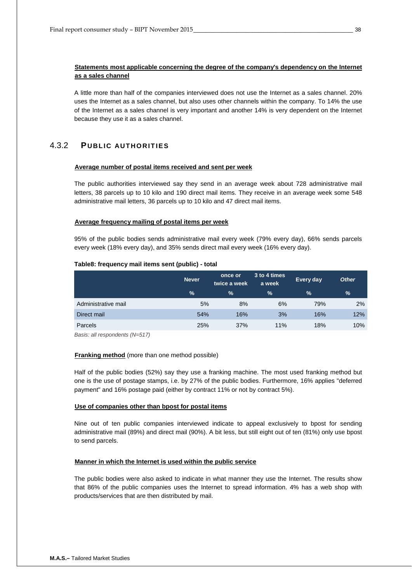## **Statements most applicable concerning the degree of the company's dependency on the Internet as a sales channel**

A little more than half of the companies interviewed does not use the Internet as a sales channel. 20% uses the Internet as a sales channel, but also uses other channels within the company. To 14% the use of the Internet as a sales channel is very important and another 14% is very dependent on the Internet because they use it as a sales channel.

## <span id="page-37-0"></span>4.3.2 **PUBLIC AUTHORITIES**

#### **Average number of postal items received and sent per week**

The public authorities interviewed say they send in an average week about 728 administrative mail letters, 38 parcels up to 10 kilo and 190 direct mail items. They receive in an average week some 548 administrative mail letters, 36 parcels up to 10 kilo and 47 direct mail items.

#### **Average frequency mailing of postal items per week**

95% of the public bodies sends administrative mail every week (79% every day), 66% sends parcels every week (18% every day), and 35% sends direct mail every week (16% every day).

#### <span id="page-37-1"></span>**Table8: frequency mail items sent (public) - total**

|                     | <b>Never</b>  | once or<br>twice a week | 3 to 4 times<br>a week | <b>Every day</b> | <b>Other</b> |
|---------------------|---------------|-------------------------|------------------------|------------------|--------------|
|                     | $\frac{9}{6}$ | $\frac{9}{6}$           | $\frac{9}{6}$          | $\%$             | %            |
| Administrative mail | 5%            | 8%                      | 6%                     | 79%              | 2%           |
| Direct mail         | 54%           | 16%                     | 3%                     | 16%              | 12%          |
| Parcels             | 25%           | 37%                     | 11%                    | 18%              | 10%          |

*Basis: all respondents (N=517)*

## **Franking method** (more than one method possible)

Half of the public bodies (52%) say they use a franking machine. The most used franking method but one is the use of postage stamps, i.e. by 27% of the public bodies. Furthermore, 16% applies "deferred payment" and 16% postage paid (either by contract 11% or not by contract 5%).

## **Use of companies other than bpost for postal items**

Nine out of ten public companies interviewed indicate to appeal exclusively to bpost for sending administrative mail (89%) and direct mail (90%). A bit less, but still eight out of ten (81%) only use bpost to send parcels.

## **Manner in which the Internet is used within the public service**

The public bodies were also asked to indicate in what manner they use the Internet. The results show that 86% of the public companies uses the Internet to spread information. 4% has a web shop with products/services that are then distributed by mail.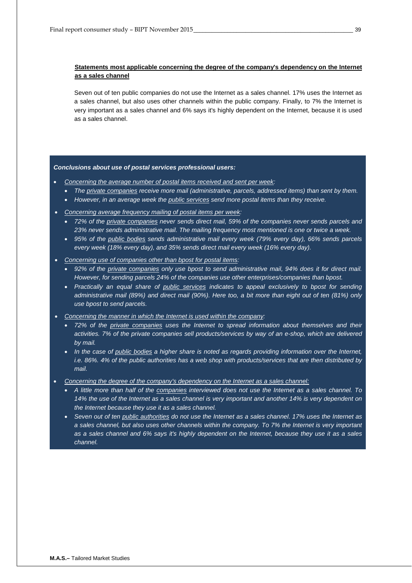## **Statements most applicable concerning the degree of the company's dependency on the Internet as a sales channel**

Seven out of ten public companies do not use the Internet as a sales channel. 17% uses the Internet as a sales channel, but also uses other channels within the public company. Finally, to 7% the Internet is very important as a sales channel and 6% says it's highly dependent on the Internet, because it is used as a sales channel.

#### *Conclusions about use of postal services professional users:*

- *Concerning the average number of postal items received and sent per week:*
	- *The private companies receive more mail (administrative, parcels, addressed items) than sent by them.*
	- *However, in an average week the public services send more postal items than they receive.*
- *Concerning average frequency mailing of postal items per week:*
	- *72% of the private companies never sends direct mail, 59% of the companies never sends parcels and 23% never sends administrative mail. The mailing frequency most mentioned is one or twice a week.*
	- *95% of the public bodies sends administrative mail every week (79% every day), 66% sends parcels every week (18% every day), and 35% sends direct mail every week (16% every day).*
- *Concerning use of companies other than bpost for postal items:*
	- *92% of the private companies only use bpost to send administrative mail, 94% does it for direct mail. However, for sending parcels 24% of the companies use other enterprises/companies than bpost.*
	- *Practically an equal share of public services indicates to appeal exclusively to bpost for sending administrative mail (89%) and direct mail (90%). Here too, a bit more than eight out of ten (81%) only use bpost to send parcels.*
- *Concerning the manner in which the Internet is used within the company:*
	- *72% of the private companies uses the Internet to spread information about themselves and their activities. 7% of the private companies sell products/services by way of an e-shop, which are delivered by mail.*
	- *In the case of public bodies a higher share is noted as regards providing information over the Internet, i.e. 86%. 4% of the public authorities has a web shop with products/services that are then distributed by mail.*
- *Concerning the degree of the company's dependency on the Internet as a sales channel:*
	- *A little more than half of the companies interviewed does not use the Internet as a sales channel. To 14% the use of the Internet as a sales channel is very important and another 14% is very dependent on the Internet because they use it as a sales channel.*
	- *Seven out of ten public authorities do not use the Internet as a sales channel. 17% uses the Internet as a sales channel, but also uses other channels within the company. To 7% the Internet is very important as a sales channel and 6% says it's highly dependent on the Internet, because they use it as a sales channel.*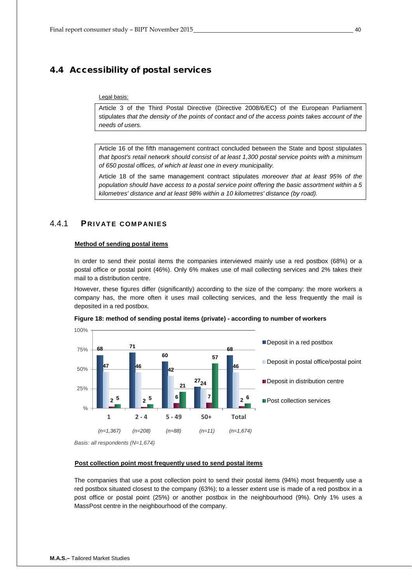## <span id="page-39-0"></span>4.4 Accessibility of postal services

#### Legal basis:

Article 3 of the Third Postal Directive (Directive 2008/6/EC) of the European Parliament stipulates *that the density of the points of contact and of the access points takes account of the needs of users.*

Article 16 of the fifth management contract concluded between the State and bpost stipulates *that bpost's retail network should consist of at least 1,300 postal service points with a minimum of 650 postal offices, of which at least one in every municipality.*

Article 18 of the same management contract stipulates *moreover that at least 95% of the population should have access to a postal service point offering the basic assortment within a 5 kilometres' distance and at least 98% within a 10 kilometres' distance (by road).*

## <span id="page-39-1"></span>4.4.1 **PRIVATE COMPANIES**

#### **Method of sending postal items**

In order to send their postal items the companies interviewed mainly use a red postbox (68%) or a postal office or postal point (46%). Only 6% makes use of mail collecting services and 2% takes their mail to a distribution centre.

However, these figures differ (significantly) according to the size of the company: the more workers a company has, the more often it uses mail collecting services, and the less frequently the mail is deposited in a red postbox.





#### **Post collection point most frequently used to send postal items**

The companies that use a post collection point to send their postal items (94%) most frequently use a red postbox situated closest to the company (63%); to a lesser extent use is made of a red postbox in a post office or postal point (25%) or another postbox in the neighbourhood (9%). Only 1% uses a MassPost centre in the neighbourhood of the company.

*Basis: all respondents (N=1,674)*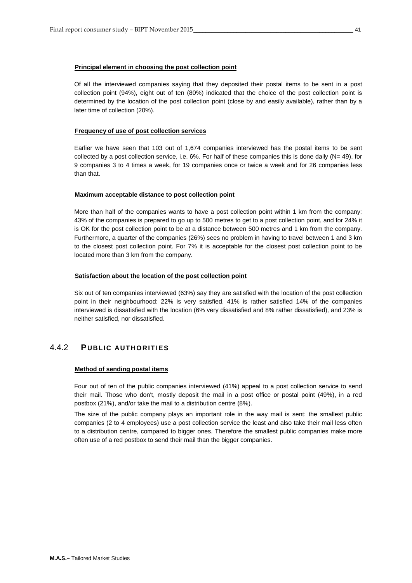Of all the interviewed companies saying that they deposited their postal items to be sent in a post collection point (94%), eight out of ten (80%) indicated that the choice of the post collection point is determined by the location of the post collection point (close by and easily available), rather than by a later time of collection (20%).

#### **Frequency of use of post collection services**

Earlier we have seen that 103 out of 1,674 companies interviewed has the postal items to be sent collected by a post collection service, i.e.  $6\%$ . For half of these companies this is done daily (N= 49), for 9 companies 3 to 4 times a week, for 19 companies once or twice a week and for 26 companies less than that.

#### **Maximum acceptable distance to post collection point**

More than half of the companies wants to have a post collection point within 1 km from the company: 43% of the companies is prepared to go up to 500 metres to get to a post collection point, and for 24% it is OK for the post collection point to be at a distance between 500 metres and 1 km from the company. Furthermore, a quarter of the companies (26%) sees no problem in having to travel between 1 and 3 km to the closest post collection point. For 7% it is acceptable for the closest post collection point to be located more than 3 km from the company.

#### **Satisfaction about the location of the post collection point**

Six out of ten companies interviewed (63%) say they are satisfied with the location of the post collection point in their neighbourhood: 22% is very satisfied, 41% is rather satisfied 14% of the companies interviewed is dissatisfied with the location (6% very dissatisfied and 8% rather dissatisfied), and 23% is neither satisfied, nor dissatisfied.

## <span id="page-40-0"></span>4.4.2 **PUBLIC AUTHORITIES**

#### **Method of sending postal items**

Four out of ten of the public companies interviewed (41%) appeal to a post collection service to send their mail. Those who don't, mostly deposit the mail in a post office or postal point (49%), in a red postbox (21%), and/or take the mail to a distribution centre (8%).

The size of the public company plays an important role in the way mail is sent: the smallest public companies (2 to 4 employees) use a post collection service the least and also take their mail less often to a distribution centre, compared to bigger ones. Therefore the smallest public companies make more often use of a red postbox to send their mail than the bigger companies.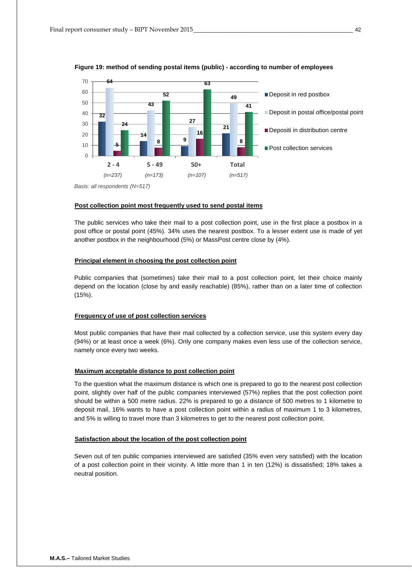



#### **Post collection point most frequently used to send postal items**

The public services who take their mail to a post collection point, use in the first place a postbox in a post office or postal point (45%). 34% uses the nearest postbox. To a lesser extent use is made of yet another postbox in the neighbourhood (5%) or MassPost centre close by (4%).

### **Principal element in choosing the post collection point**

Public companies that (sometimes) take their mail to a post collection point, let their choice mainly depend on the location (close by and easily reachable) (85%), rather than on a later time of collection (15%).

#### **Frequency of use of post collection services**

Most public companies that have their mail collected by a collection service, use this system every day (94%) or at least once a week (6%). Only one company makes even less use of the collection service, namely once every two weeks.

#### **Maximum acceptable distance to post collection point**

To the question what the maximum distance is which one is prepared to go to the nearest post collection point, slightly over half of the public companies interviewed (57%) replies that the post collection point should be within a 500 metre radius. 22% is prepared to go a distance of 500 metres to 1 kilometre to deposit mail, 16% wants to have a post collection point within a radius of maximum 1 to 3 kilometres, and 5% is willing to travel more than 3 kilometres to get to the nearest post collection point.

#### **Satisfaction about the location of the post collection point**

Seven out of ten public companies interviewed are satisfied (35% even very satisfied) with the location of a post collection point in their vicinity. A little more than 1 in ten (12%) is dissatisfied; 18% takes a neutral position.

*Basis: all respondents (N=517)*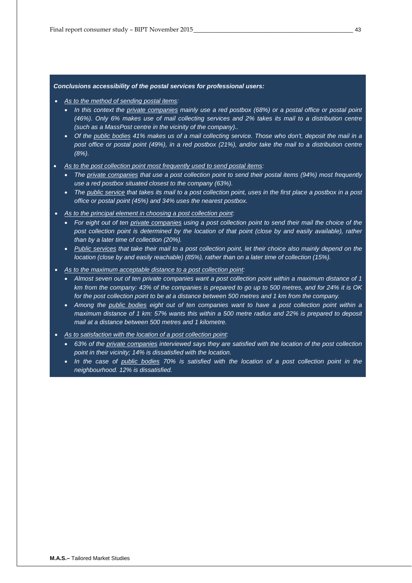#### *Conclusions accessibility of the postal services for professional users:*

- *As to the method of sending postal items:*
	- *In this context the private companies mainly use a red postbox (68%) or a postal office or postal point (46%). Only 6% makes use of mail collecting services and 2% takes its mail to a distribution centre (such as a MassPost centre in the vicinity of the company)..*
	- *Of the public bodies 41% makes us of a mail collecting service. Those who don't, deposit the mail in a post office or postal point (49%), in a red postbox (21%), and/or take the mail to a distribution centre (8%).*
- *As to the post collection point most frequently used to send postal items:*
	- *The private companies that use a post collection point to send their postal items (94%) most frequently use a red postbox situated closest to the company (63%).*
	- *The public service that takes its mail to a post collection point, uses in the first place a postbox in a post office or postal point (45%) and 34% uses the nearest postbox.*
- *As to the principal element in choosing a post collection point:*
	- *For eight out of ten private companies using a post collection point to send their mail the choice of the post collection point is determined by the location of that point (close by and easily available), rather than by a later time of collection (20%).*
	- *Public services that take their mail to a post collection point, let their choice also mainly depend on the location (close by and easily reachable) (85%), rather than on a later time of collection (15%).*
- *As to the maximum acceptable distance to a post collection point:*
	- *Almost seven out of ten private companies want a post collection point within a maximum distance of 1 km from the company: 43% of the companies is prepared to go up to 500 metres, and for 24% it is OK for the post collection point to be at a distance between 500 metres and 1 km from the company.*
	- *Among the public bodies eight out of ten companies want to have a post collection point within a maximum distance of 1 km: 57% wants this within a 500 metre radius and 22% is prepared to deposit mail at a distance between 500 metres and 1 kilometre.*
- *As to satisfaction with the location of a post collection point:*
	- *63% of the private companies interviewed says they are satisfied with the location of the post collection point in their vicinity; 14% is dissatisfied with the location.*
	- *In the case of public bodies 70% is satisfied with the location of a post collection point in the neighbourhood. 12% is dissatisfied.*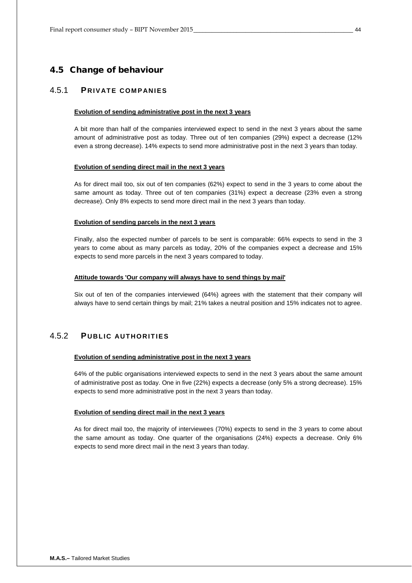## <span id="page-43-0"></span>4.5 Change of behaviour

## <span id="page-43-1"></span>4.5.1 **PRIVATE COMPANIES**

#### **Evolution of sending administrative post in the next 3 years**

A bit more than half of the companies interviewed expect to send in the next 3 years about the same amount of administrative post as today. Three out of ten companies (29%) expect a decrease (12% even a strong decrease). 14% expects to send more administrative post in the next 3 years than today.

#### **Evolution of sending direct mail in the next 3 years**

As for direct mail too, six out of ten companies (62%) expect to send in the 3 years to come about the same amount as today. Three out of ten companies (31%) expect a decrease (23% even a strong decrease). Only 8% expects to send more direct mail in the next 3 years than today.

#### **Evolution of sending parcels in the next 3 years**

Finally, also the expected number of parcels to be sent is comparable: 66% expects to send in the 3 years to come about as many parcels as today, 20% of the companies expect a decrease and 15% expects to send more parcels in the next 3 years compared to today.

#### **Attitude towards 'Our company will always have to send things by mail'**

Six out of ten of the companies interviewed (64%) agrees with the statement that their company will always have to send certain things by mail; 21% takes a neutral position and 15% indicates not to agree.

## <span id="page-43-2"></span>4.5.2 **PUBLIC AUTHORITIES**

#### **Evolution of sending administrative post in the next 3 years**

64% of the public organisations interviewed expects to send in the next 3 years about the same amount of administrative post as today. One in five (22%) expects a decrease (only 5% a strong decrease). 15% expects to send more administrative post in the next 3 years than today.

### **Evolution of sending direct mail in the next 3 years**

As for direct mail too, the majority of interviewees (70%) expects to send in the 3 years to come about the same amount as today. One quarter of the organisations (24%) expects a decrease. Only 6% expects to send more direct mail in the next 3 years than today.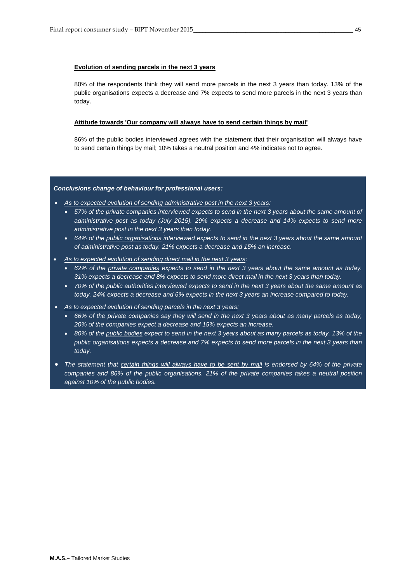## **Evolution of sending parcels in the next 3 years**

80% of the respondents think they will send more parcels in the next 3 years than today. 13% of the public organisations expects a decrease and 7% expects to send more parcels in the next 3 years than today.

#### **Attitude towards 'Our company will always have to send certain things by mail'**

86% of the public bodies interviewed agrees with the statement that their organisation will always have to send certain things by mail; 10% takes a neutral position and 4% indicates not to agree.

#### *Conclusions change of behaviour for professional users:*

- *As to expected evolution of sending administrative post in the next 3 years:*
	- *57% of the private companies interviewed expects to send in the next 3 years about the same amount of administrative post as today (July 2015). 29% expects a decrease and 14% expects to send more administrative post in the next 3 years than today.*
	- *64% of the public organisations interviewed expects to send in the next 3 years about the same amount of administrative post as today. 21% expects a decrease and 15% an increase.*
- *As to expected evolution of sending direct mail in the next 3 years:*
	- *62% of the private companies expects to send in the next 3 years about the same amount as today. 31% expects a decrease and 8% expects to send more direct mail in the next 3 years than today.*
	- *70% of the public authorities interviewed expects to send in the next 3 years about the same amount as today. 24% expects a decrease and 6% expects in the next 3 years an increase compared to today.*
- *As to expected evolution of sending parcels in the next 3 years:*
	- *66% of the private companies say they will send in the next 3 years about as many parcels as today, 20% of the companies expect a decrease and 15% expects an increase.*
	- *80% of the public bodies expect to send in the next 3 years about as many parcels as today. 13% of the public organisations expects a decrease and 7% expects to send more parcels in the next 3 years than today.*
- *The statement that certain things will always have to be sent by mail is endorsed by 64% of the private companies and 86% of the public organisations. 21% of the private companies takes a neutral position against 10% of the public bodies.*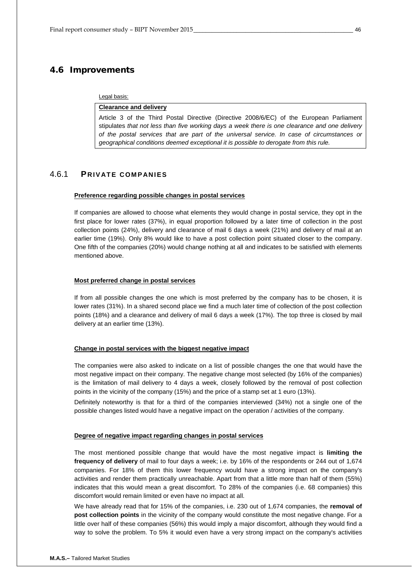## <span id="page-45-0"></span>4.6 Improvements

Legal basis:

#### **Clearance and delivery**

Article 3 of the Third Postal Directive (Directive 2008/6/EC) of the European Parliament stipulates *that not less than five working days a week there is one clearance and one delivery of the postal services that are part of the universal service. In case of circumstances or geographical conditions deemed exceptional it is possible to derogate from this rule.*

## <span id="page-45-1"></span>4.6.1 **PRIVATE COMPANIES**

#### **Preference regarding possible changes in postal services**

If companies are allowed to choose what elements they would change in postal service, they opt in the first place for lower rates (37%), in equal proportion followed by a later time of collection in the post collection points (24%), delivery and clearance of mail 6 days a week (21%) and delivery of mail at an earlier time (19%). Only 8% would like to have a post collection point situated closer to the company. One fifth of the companies (20%) would change nothing at all and indicates to be satisfied with elements mentioned above.

## **Most preferred change in postal services**

If from all possible changes the one which is most preferred by the company has to be chosen, it is lower rates (31%). In a shared second place we find a much later time of collection of the post collection points (18%) and a clearance and delivery of mail 6 days a week (17%). The top three is closed by mail delivery at an earlier time (13%).

## **Change in postal services with the biggest negative impact**

The companies were also asked to indicate on a list of possible changes the one that would have the most negative impact on their company. The negative change most selected (by 16% of the companies) is the limitation of mail delivery to 4 days a week, closely followed by the removal of post collection points in the vicinity of the company (15%) and the price of a stamp set at 1 euro (13%).

Definitely noteworthy is that for a third of the companies interviewed (34%) not a single one of the possible changes listed would have a negative impact on the operation / activities of the company.

#### **Degree of negative impact regarding changes in postal services**

The most mentioned possible change that would have the most negative impact is **limiting the frequency of delivery** of mail to four days a week; i.e. by 16% of the respondents or 244 out of 1,674 companies. For 18% of them this lower frequency would have a strong impact on the company's activities and render them practically unreachable. Apart from that a little more than half of them (55%) indicates that this would mean a great discomfort. To 28% of the companies (i.e. 68 companies) this discomfort would remain limited or even have no impact at all.

We have already read that for 15% of the companies, i.e. 230 out of 1,674 companies, the **removal of post collection points** in the vicinity of the company would constitute the most negative change. For a little over half of these companies (56%) this would imply a major discomfort, although they would find a way to solve the problem. To 5% it would even have a very strong impact on the company's activities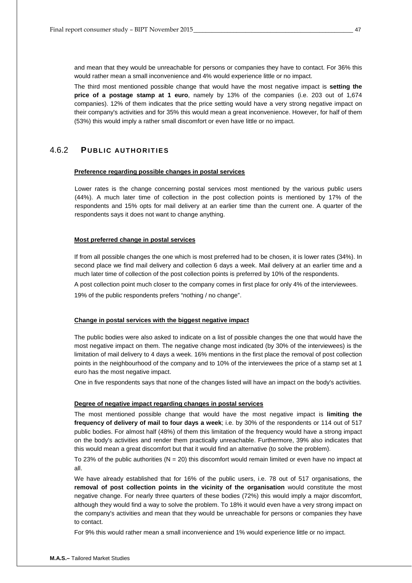and mean that they would be unreachable for persons or companies they have to contact. For 36% this would rather mean a small inconvenience and 4% would experience little or no impact.

The third most mentioned possible change that would have the most negative impact is **setting the price of a postage stamp at 1 euro**, namely by 13% of the companies (i.e. 203 out of 1,674 companies). 12% of them indicates that the price setting would have a very strong negative impact on their company's activities and for 35% this would mean a great inconvenience. However, for half of them (53%) this would imply a rather small discomfort or even have little or no impact.

## <span id="page-46-0"></span>4.6.2 **PUBLIC AUTHORITIES**

#### **Preference regarding possible changes in postal services**

Lower rates is the change concerning postal services most mentioned by the various public users (44%). A much later time of collection in the post collection points is mentioned by 17% of the respondents and 15% opts for mail delivery at an earlier time than the current one. A quarter of the respondents says it does not want to change anything.

#### **Most preferred change in postal services**

If from all possible changes the one which is most preferred had to be chosen, it is lower rates (34%). In second place we find mail delivery and collection 6 days a week. Mail delivery at an earlier time and a much later time of collection of the post collection points is preferred by 10% of the respondents.

A post collection point much closer to the company comes in first place for only 4% of the interviewees.

19% of the public respondents prefers "nothing / no change".

#### **Change in postal services with the biggest negative impact**

The public bodies were also asked to indicate on a list of possible changes the one that would have the most negative impact on them. The negative change most indicated (by 30% of the interviewees) is the limitation of mail delivery to 4 days a week. 16% mentions in the first place the removal of post collection points in the neighbourhood of the company and to 10% of the interviewees the price of a stamp set at 1 euro has the most negative impact.

One in five respondents says that none of the changes listed will have an impact on the body's activities.

## **Degree of negative impact regarding changes in postal services**

The most mentioned possible change that would have the most negative impact is **limiting the frequency of delivery of mail to four days a week**; i.e. by 30% of the respondents or 114 out of 517 public bodies. For almost half (48%) of them this limitation of the frequency would have a strong impact on the body's activities and render them practically unreachable. Furthermore, 39% also indicates that this would mean a great discomfort but that it would find an alternative (to solve the problem).

To 23% of the public authorities ( $N = 20$ ) this discomfort would remain limited or even have no impact at all.

We have already established that for 16% of the public users, i.e. 78 out of 517 organisations, the **removal of post collection points in the vicinity of the organisation** would constitute the most negative change. For nearly three quarters of these bodies (72%) this would imply a major discomfort, although they would find a way to solve the problem. To 18% it would even have a very strong impact on the company's activities and mean that they would be unreachable for persons or companies they have to contact.

For 9% this would rather mean a small inconvenience and 1% would experience little or no impact.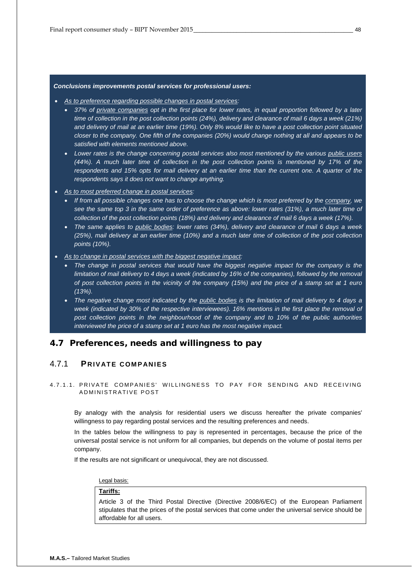#### *Conclusions improvements postal services for professional users:*

- *As to preference regarding possible changes in postal services:*
	- *37% of private companies opt in the first place for lower rates, in equal proportion followed by a later time of collection in the post collection points (24%), delivery and clearance of mail 6 days a week (21%) and delivery of mail at an earlier time (19%). Only 8% would like to have a post collection point situated closer to the company. One fifth of the companies (20%) would change nothing at all and appears to be satisfied with elements mentioned above.*
	- *Lower rates is the change concerning postal services also most mentioned by the various public users (44%). A much later time of collection in the post collection points is mentioned by 17% of the respondents and 15% opts for mail delivery at an earlier time than the current one. A quarter of the respondents says it does not want to change anything.*
- *As to most preferred change in postal services:*
	- *If from all possible changes one has to choose the change which is most preferred by the company, we see the same top 3 in the same order of preference as above: lower rates (31%), a much later time of collection of the post collection points (18%) and delivery and clearance of mail 6 days a week (17%).*
	- *The same applies to public bodies: lower rates (34%), delivery and clearance of mail 6 days a week (25%), mail delivery at an earlier time (10%) and a much later time of collection of the post collection points (10%).*
- *As to change in postal services with the biggest negative impact:*
	- *The change in postal services that would have the biggest negative impact for the company is the limitation of mail delivery to 4 days a week (indicated by 16% of the companies), followed by the removal of post collection points in the vicinity of the company (15%) and the price of a stamp set at 1 euro (13%).*
	- *The negative change most indicated by the public bodies is the limitation of mail delivery to 4 days a week (indicated by 30% of the respective interviewees). 16% mentions in the first place the removal of post collection points in the neighbourhood of the company and to 10% of the public authorities interviewed the price of a stamp set at 1 euro has the most negative impact.*

## <span id="page-47-0"></span>4.7 Preferences, needs and willingness to pay

## <span id="page-47-1"></span>4.7.1 **PRIVATE COMPANIES**

## 4.7.1.1. PRIVATE COMPANIES' WILLINGNESS TO PAY FOR SENDING AND RECEIVING ADMINISTRATIVE POST

By analogy with the analysis for residential users we discuss hereafter the private companies' willingness to pay regarding postal services and the resulting preferences and needs.

In the tables below the willingness to pay is represented in percentages, because the price of the universal postal service is not uniform for all companies, but depends on the volume of postal items per company.

If the results are not significant or unequivocal, they are not discussed.

## Legal basis:

#### **Tariffs:**

Article 3 of the Third Postal Directive (Directive 2008/6/EC) of the European Parliament stipulates that the prices of the postal services that come under the universal service should be affordable for all users.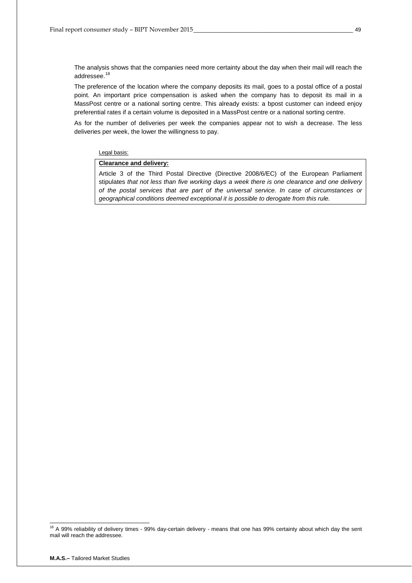The analysis shows that the companies need more certainty about the day when their mail will reach the addressee.<sup>[18](#page-48-0)</sup>

The preference of the location where the company deposits its mail, goes to a postal office of a postal point. An important price compensation is asked when the company has to deposit its mail in a MassPost centre or a national sorting centre. This already exists: a bpost customer can indeed enjoy preferential rates if a certain volume is deposited in a MassPost centre or a national sorting centre.

As for the number of deliveries per week the companies appear not to wish a decrease. The less deliveries per week, the lower the willingness to pay.

#### Legal basis:

## **Clearance and delivery:**

Article 3 of the Third Postal Directive (Directive 2008/6/EC) of the European Parliament stipulates *that not less than five working days a week there is one clearance and one delivery of the postal services that are part of the universal service. In case of circumstances or geographical conditions deemed exceptional it is possible to derogate from this rule.*

<span id="page-48-0"></span><sup>&</sup>lt;sup>18</sup> A 99% reliability of delivery times - 99% day-certain delivery - means that one has 99% certainty about which day the sent mail will reach the addressee.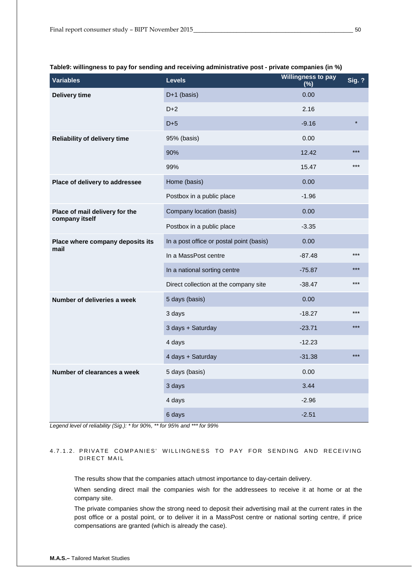| <b>Variables</b>                    | <b>Levels</b>                            | <b>Willingness to pay</b><br>(%) | <b>Sig. ?</b> |
|-------------------------------------|------------------------------------------|----------------------------------|---------------|
| Delivery time                       | D+1 (basis)                              | 0.00                             |               |
|                                     | $D+2$                                    | 2.16                             |               |
|                                     | $D+5$                                    | $-9.16$                          | $\star$       |
| <b>Reliability of delivery time</b> | 95% (basis)                              | 0.00                             |               |
|                                     | 90%                                      | 12.42                            | ***           |
|                                     | 99%                                      | 15.47                            | $***$         |
| Place of delivery to addressee      | Home (basis)                             | 0.00                             |               |
|                                     | Postbox in a public place                | $-1.96$                          |               |
| Place of mail delivery for the      | Company location (basis)                 | 0.00                             |               |
| company itself                      | Postbox in a public place                | $-3.35$                          |               |
| Place where company deposits its    | In a post office or postal point (basis) | 0.00                             |               |
| mail                                | In a MassPost centre                     | $-87.48$                         | $***$         |
|                                     | In a national sorting centre             | $-75.87$                         | $***$         |
|                                     | Direct collection at the company site    | $-38.47$                         | ***           |
| Number of deliveries a week         | 5 days (basis)                           | 0.00                             |               |
|                                     | 3 days                                   | $-18.27$                         | ***           |
|                                     | 3 days + Saturday                        | $-23.71$                         | $***$         |
|                                     | 4 days                                   | $-12.23$                         |               |
|                                     | 4 days + Saturday                        | $-31.38$                         | $***$         |
| Number of clearances a week         | 5 days (basis)                           | 0.00                             |               |
|                                     | 3 days                                   | 3.44                             |               |
|                                     | 4 days                                   | $-2.96$                          |               |
|                                     | 6 days                                   | $-2.51$                          |               |

#### <span id="page-49-0"></span>**Table9: willingness to pay for sending and receiving administrative post - private companies (in %)**

*Legend level of reliability (Sig.): \* for 90%, \*\* for 95% and \*\*\* for 99%* 

## 4.7.1.2. PRIVATE COMPANIES' WILLINGNESS TO PAY FOR SENDING AND RECEIVING DIRECT MAIL

The results show that the companies attach utmost importance to day-certain delivery.

When sending direct mail the companies wish for the addressees to receive it at home or at the company site.

The private companies show the strong need to deposit their advertising mail at the current rates in the post office or a postal point, or to deliver it in a MassPost centre or national sorting centre, if price compensations are granted (which is already the case).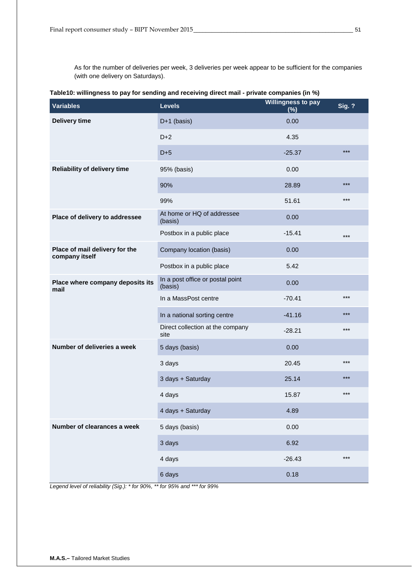As for the number of deliveries per week, 3 deliveries per week appear to be sufficient for the companies (with one delivery on Saturdays).

| rapic ro. willinghedd to pay for denamg ana receiving aneet mair -private companied (in 70) |                                             | <b>Willingness to pay</b> |               |
|---------------------------------------------------------------------------------------------|---------------------------------------------|---------------------------|---------------|
| <b>Variables</b>                                                                            | <b>Levels</b>                               | (%)                       | <b>Sig. ?</b> |
| Delivery time                                                                               | D+1 (basis)                                 | 0.00                      |               |
|                                                                                             | $D+2$                                       | 4.35                      |               |
|                                                                                             | $D+5$                                       | $-25.37$                  | $***$         |
| <b>Reliability of delivery time</b>                                                         | 95% (basis)                                 | 0.00                      |               |
|                                                                                             | 90%                                         | 28.89                     | $***$         |
|                                                                                             | 99%                                         | 51.61                     | ***           |
| Place of delivery to addressee                                                              | At home or HQ of addressee<br>(basis)       | 0.00                      |               |
|                                                                                             | Postbox in a public place                   | $-15.41$                  | $***$         |
| Place of mail delivery for the<br>company itself                                            | Company location (basis)                    | 0.00                      |               |
|                                                                                             | Postbox in a public place                   | 5.42                      |               |
| Place where company deposits its<br>mail                                                    | In a post office or postal point<br>(basis) | 0.00                      |               |
|                                                                                             | In a MassPost centre                        | $-70.41$                  | ***           |
|                                                                                             | In a national sorting centre                | $-41.16$                  | ***           |
|                                                                                             | Direct collection at the company<br>site    | $-28.21$                  | ***           |
| Number of deliveries a week                                                                 | 5 days (basis)                              | 0.00                      |               |
|                                                                                             | 3 days                                      | 20.45                     | $***$         |
|                                                                                             | 3 days + Saturday                           | 25.14                     | $***$         |
|                                                                                             | 4 days                                      | 15.87                     | ***           |
|                                                                                             | 4 days + Saturday                           | 4.89                      |               |
| Number of clearances a week                                                                 | 5 days (basis)                              | 0.00                      |               |
|                                                                                             | 3 days                                      | 6.92                      |               |
|                                                                                             | 4 days                                      | $-26.43$                  | ***           |
|                                                                                             | 6 days                                      | 0.18                      |               |

<span id="page-50-0"></span>**Table10: willingness to pay for sending and receiving direct mail - private companies (in %)**

*Legend level of reliability (Sig.): \* for 90%, \*\* for 95% and \*\*\* for 99%*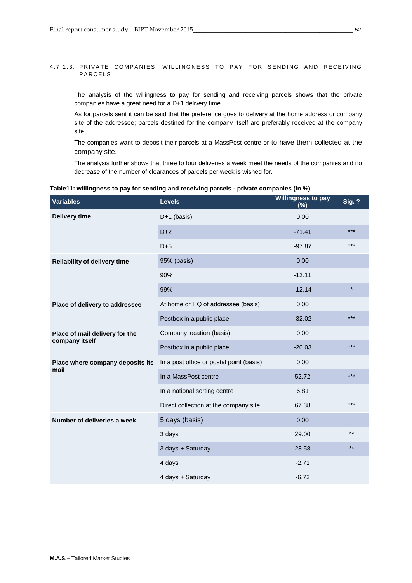## 4.7.1.3. PRIVATE COMPANIES' WILLINGNESS TO PAY FOR SENDING AND RECEIVING PARCELS

The analysis of the willingness to pay for sending and receiving parcels shows that the private companies have a great need for a D+1 delivery time.

As for parcels sent it can be said that the preference goes to delivery at the home address or company site of the addressee; parcels destined for the company itself are preferably received at the company site.

The companies want to deposit their parcels at a MassPost centre or to have them collected at the company site.

The analysis further shows that three to four deliveries a week meet the needs of the companies and no decrease of the number of clearances of parcels per week is wished for.

| <b>Variables</b>                    | <b>Levels</b>                            | <b>Willingness to pay</b><br>(%) | <b>Sig. ?</b> |
|-------------------------------------|------------------------------------------|----------------------------------|---------------|
| <b>Delivery time</b>                | $D+1$ (basis)                            | 0.00                             |               |
|                                     | $D+2$                                    | $-71.41$                         | $***$         |
|                                     | $D+5$                                    | $-97.87$                         | $***$         |
| <b>Reliability of delivery time</b> | 95% (basis)                              | 0.00                             |               |
|                                     | 90%                                      | $-13.11$                         |               |
|                                     | 99%                                      | $-12.14$                         | $\star$       |
| Place of delivery to addressee      | At home or HQ of addressee (basis)       | 0.00                             |               |
|                                     | Postbox in a public place                | $-32.02$                         | $***$         |
| Place of mail delivery for the      | Company location (basis)                 | 0.00                             |               |
| company itself                      | Postbox in a public place                | $-20.03$                         | ***           |
| Place where company deposits its    | In a post office or postal point (basis) | 0.00                             |               |
| mail                                | In a MassPost centre                     | 52.72                            | $***$         |
|                                     | In a national sorting centre             | 6.81                             |               |
|                                     | Direct collection at the company site    | 67.38                            | $***$         |
| Number of deliveries a week         | 5 days (basis)                           | 0.00                             |               |
|                                     | 3 days                                   | 29.00                            | $***$         |
|                                     | 3 days + Saturday                        | 28.58                            | $***$         |
|                                     | 4 days                                   | $-2.71$                          |               |
|                                     | 4 days + Saturday                        | $-6.73$                          |               |

#### <span id="page-51-0"></span>**Table11: willingness to pay for sending and receiving parcels - private companies (in %)**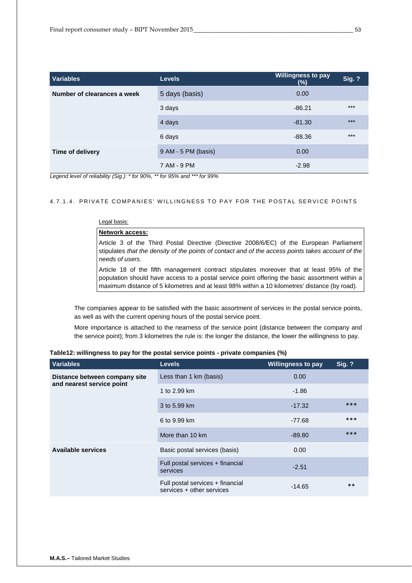| <b>Variables</b>            | <b>Levels</b>       | <b>Willingness to pay</b><br>(%) | <b>Sig. ?</b> |
|-----------------------------|---------------------|----------------------------------|---------------|
| Number of clearances a week | 5 days (basis)      | 0.00                             |               |
|                             | 3 days              | $-86.21$                         | $***$         |
|                             | 4 days              | $-81.30$                         | $***$         |
|                             | 6 days              | $-88.36$                         | $***$         |
| Time of delivery            | 9 AM - 5 PM (basis) | 0.00                             |               |
|                             | 7 AM - 9 PM         | $-2.98$                          |               |

## 4.7.1.4. PRIVATE COMPANIES' W ILLINGNESS TO PAY FOR THE POSTAL SERVICE POINTS

## Legal basis:

## **Network access:**

Article 3 of the Third Postal Directive (Directive 2008/6/EC) of the European Parliament stipulates *that the density of the points of contact and of the access points takes account of the needs of users.*

Article 18 of the fifth management contract stipulates moreover that at least 95% of the population should have access to a postal service point offering the basic assortment within a maximum distance of 5 kilometres and at least 98% within a 10 kilometres' distance (by road).

The companies appear to be satisfied with the basic assortment of services in the postal service points, as well as with the current opening hours of the postal service point.

More importance is attached to the nearness of the service point (distance between the company and the service point); from 3 kilometres the rule is: the longer the distance, the lower the willingness to pay.

| <b>Variables</b>                                           | <b>Levels</b>                                                 | <b>Willingness to pay</b> | <b>Sig. ?</b> |
|------------------------------------------------------------|---------------------------------------------------------------|---------------------------|---------------|
| Distance between company site<br>and nearest service point | Less than 1 km (basis)                                        | 0.00                      |               |
|                                                            | 1 to 2.99 km                                                  | $-1.86$                   |               |
|                                                            | 3 to 5.99 km                                                  | $-17.32$                  | ***           |
|                                                            | 6 to 9.99 km                                                  | -77.68                    | ***           |
|                                                            | More than 10 km                                               | $-89.80$                  | ***           |
| <b>Available services</b>                                  | Basic postal services (basis)                                 | 0.00                      |               |
|                                                            | Full postal services + financial<br>services                  | $-2.51$                   |               |
|                                                            | Full postal services + financial<br>services + other services | $-14.65$                  | $***$         |

<span id="page-52-0"></span>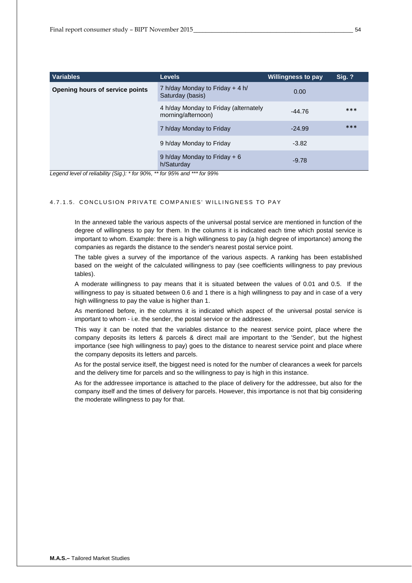| <b>Variables</b>                | <b>Levels</b>                                               | <b>Willingness to pay</b> | <b>Sig. ?</b> |
|---------------------------------|-------------------------------------------------------------|---------------------------|---------------|
| Opening hours of service points | 7 h/day Monday to Friday $+$ 4 h/<br>Saturday (basis)       | 0.00                      |               |
|                                 | 4 h/day Monday to Friday (alternately<br>morning/afternoon) | $-44.76$                  | ***           |
|                                 | 7 h/day Monday to Friday                                    | $-24.99$                  | ***           |
|                                 | 9 h/day Monday to Friday                                    | $-3.82$                   |               |
|                                 | 9 h/day Monday to Friday $+ 6$<br>h/Saturday                | $-9.78$                   |               |

## 4.7.1.5. CONCLUSION PRIVATE C OMPANIES' WILLINGNES S TO PAY

In the annexed table the various aspects of the universal postal service are mentioned in function of the degree of willingness to pay for them. In the columns it is indicated each time which postal service is important to whom. Example: there is a high willingness to pay (a high degree of importance) among the companies as regards the distance to the sender's nearest postal service point.

The table gives a survey of the importance of the various aspects. A ranking has been established based on the weight of the calculated willingness to pay (see coefficients willingness to pay previous tables).

A moderate willingness to pay means that it is situated between the values of 0.01 and 0.5. If the willingness to pay is situated between 0.6 and 1 there is a high willingness to pay and in case of a very high willingness to pay the value is higher than 1.

As mentioned before, in the columns it is indicated which aspect of the universal postal service is important to whom - i.e. the sender, the postal service or the addressee.

This way it can be noted that the variables distance to the nearest service point, place where the company deposits its letters & parcels & direct mail are important to the 'Sender', but the highest importance (see high willingness to pay) goes to the distance to nearest service point and place where the company deposits its letters and parcels.

As for the postal service itself, the biggest need is noted for the number of clearances a week for parcels and the delivery time for parcels and so the willingness to pay is high in this instance.

As for the addressee importance is attached to the place of delivery for the addressee, but also for the company itself and the times of delivery for parcels. However, this importance is not that big considering the moderate willingness to pay for that.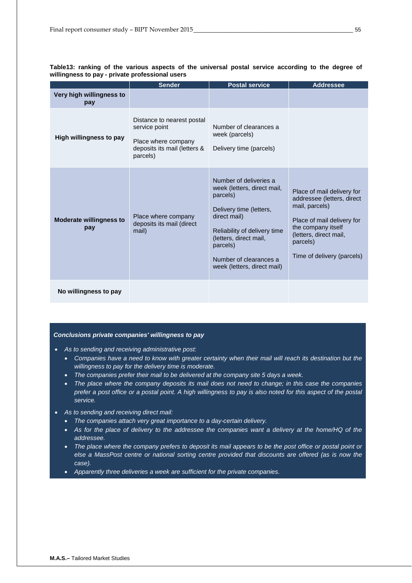|                                       | <b>Sender</b>                                                                                                  | <b>Postal service</b>                                                                                                                                                                                                                       | <b>Addressee</b>                                                                                                                                                                                   |
|---------------------------------------|----------------------------------------------------------------------------------------------------------------|---------------------------------------------------------------------------------------------------------------------------------------------------------------------------------------------------------------------------------------------|----------------------------------------------------------------------------------------------------------------------------------------------------------------------------------------------------|
| Very high willingness to<br>pay       |                                                                                                                |                                                                                                                                                                                                                                             |                                                                                                                                                                                                    |
| High willingness to pay               | Distance to nearest postal<br>service point<br>Place where company<br>deposits its mail (letters &<br>parcels) | Number of clearances a<br>week (parcels)<br>Delivery time (parcels)                                                                                                                                                                         |                                                                                                                                                                                                    |
| <b>Moderate willingness to</b><br>pay | Place where company<br>deposits its mail (direct<br>mail)                                                      | Number of deliveries a<br>week (letters, direct mail,<br>parcels)<br>Delivery time (letters,<br>direct mail)<br>Reliability of delivery time<br>(letters, direct mail,<br>parcels)<br>Number of clearances a<br>week (letters, direct mail) | Place of mail delivery for<br>addressee (letters, direct<br>mail, parcels)<br>Place of mail delivery for<br>the company itself<br>(letters, direct mail,<br>parcels)<br>Time of delivery (parcels) |
| No willingness to pay                 |                                                                                                                |                                                                                                                                                                                                                                             |                                                                                                                                                                                                    |

<span id="page-54-0"></span>**Table13: ranking of the various aspects of the universal postal service according to the degree of willingness to pay - private professional users**

#### *Conclusions private companies' willingness to pay*

- *As to sending and receiving administrative post:* 
	- *Companies have a need to know with greater certainty when their mail will reach its destination but the willingness to pay for the delivery time is moderate.*
	- *The companies prefer their mail to be delivered at the company site 5 days a week.*
	- *The place where the company deposits its mail does not need to change; in this case the companies prefer a post office or a postal point. A high willingness to pay is also noted for this aspect of the postal service.*
- *As to sending and receiving direct mail:* 
	- *The companies attach very great importance to a day-certain delivery.*
	- *As for the place of delivery to the addressee the companies want a delivery at the home/HQ of the addressee.*
	- *The place where the company prefers to deposit its mail appears to be the post office or postal point or else a MassPost centre or national sorting centre provided that discounts are offered (as is now the case).*
	- *Apparently three deliveries a week are sufficient for the private companies.*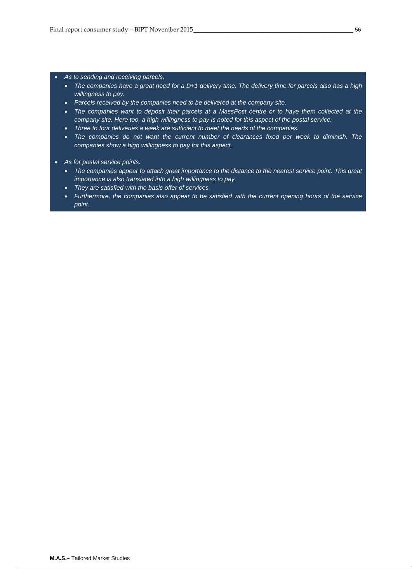- *As to sending and receiving parcels:* 
	- *The companies have a great need for a D+1 delivery time. The delivery time for parcels also has a high willingness to pay.*
	- *Parcels received by the companies need to be delivered at the company site.*
	- *The companies want to deposit their parcels at a MassPost centre or to have them collected at the company site. Here too, a high willingness to pay is noted for this aspect of the postal service.*
	- *Three to four deliveries a week are sufficient to meet the needs of the companies.*
	- *The companies do not want the current number of clearances fixed per week to diminish. The companies show a high willingness to pay for this aspect.*
- *As for postal service points:* 
	- *The companies appear to attach great importance to the distance to the nearest service point. This great importance is also translated into a high willingness to pay.*
	- *They are satisfied with the basic offer of services.*
	- *Furthermore, the companies also appear to be satisfied with the current opening hours of the service point.*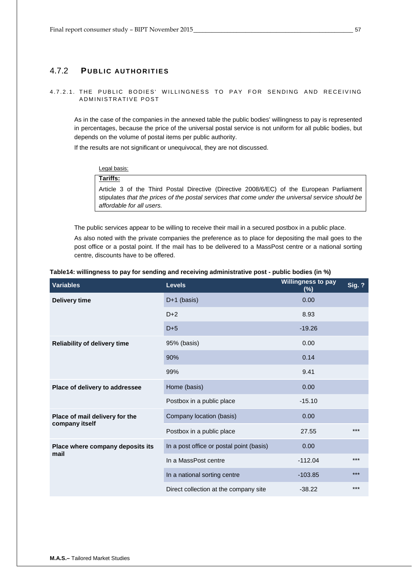## <span id="page-56-0"></span>4.7.2 **PUBLIC AUTHORITIES**

## 4.7.2.1. THE PUBLIC BODIES' WILLINGNESS TO PAY FOR SENDING AND RECEIVING ADMINISTRATIVE POST

As in the case of the companies in the annexed table the public bodies' willingness to pay is represented in percentages, because the price of the universal postal service is not uniform for all public bodies, but depends on the volume of postal items per public authority.

If the results are not significant or unequivocal, they are not discussed.

Legal basis: **Tariffs:**  Article 3 of the Third Postal Directive (Directive 2008/6/EC) of the European Parliament stipulates *that the prices of the postal services that come under the universal service should be affordable for all users.*

The public services appear to be willing to receive their mail in a secured postbox in a public place. As also noted with the private companies the preference as to place for depositing the mail goes to the post office or a postal point. If the mail has to be delivered to a MassPost centre or a national sorting centre, discounts have to be offered.

| <b>Variables</b>                                 | <b>Levels</b>                            | <b>Willingness to pay</b><br>(%) | <b>Sig. ?</b> |
|--------------------------------------------------|------------------------------------------|----------------------------------|---------------|
| <b>Delivery time</b>                             | $D+1$ (basis)                            | 0.00                             |               |
|                                                  | $D+2$                                    | 8.93                             |               |
|                                                  | $D+5$                                    | $-19.26$                         |               |
| <b>Reliability of delivery time</b>              | 95% (basis)                              | 0.00                             |               |
|                                                  | 90%                                      | 0.14                             |               |
|                                                  | 99%                                      | 9.41                             |               |
| Place of delivery to addressee                   | Home (basis)                             | 0.00                             |               |
|                                                  | Postbox in a public place                | $-15.10$                         |               |
| Place of mail delivery for the<br>company itself | Company location (basis)                 | 0.00                             |               |
|                                                  | Postbox in a public place                | 27.55                            | $***$         |
| Place where company deposits its                 | In a post office or postal point (basis) | 0.00                             |               |
| mail                                             | In a MassPost centre                     | $-112.04$                        | $***$         |
|                                                  | In a national sorting centre             | $-103.85$                        | $***$         |
|                                                  | Direct collection at the company site    | $-38.22$                         | $***$         |

<span id="page-56-1"></span>

| Table14: willingness to pay for sending and receiving administrative post - public bodies (in %) |  |  |
|--------------------------------------------------------------------------------------------------|--|--|
|--------------------------------------------------------------------------------------------------|--|--|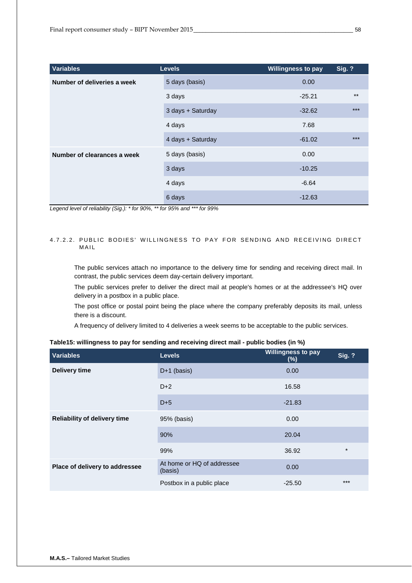| <b>Variables</b>            | <b>Levels</b>     | <b>Willingness to pay</b> | <b>Sig. ?</b> |
|-----------------------------|-------------------|---------------------------|---------------|
| Number of deliveries a week | 5 days (basis)    | 0.00                      |               |
|                             | 3 days            | $-25.21$                  | $***$         |
|                             | 3 days + Saturday | $-32.62$                  | $***$         |
|                             | 4 days            | 7.68                      |               |
|                             | 4 days + Saturday | $-61.02$                  | $***$         |
| Number of clearances a week | 5 days (basis)    | 0.00                      |               |
|                             | 3 days            | $-10.25$                  |               |
|                             | 4 days            | $-6.64$                   |               |
|                             | 6 days            | $-12.63$                  |               |

## 4.7.2.2. PUBLIC BODIES' WILLINGNESS TO PAY FOR SENDING AND RECEIVING DIRECT MAIL

The public services attach no importance to the delivery time for sending and receiving direct mail. In contrast, the public services deem day-certain delivery important.

The public services prefer to deliver the direct mail at people's homes or at the addressee's HQ over delivery in a postbox in a public place.

The post office or postal point being the place where the company preferably deposits its mail, unless there is a discount.

A frequency of delivery limited to 4 deliveries a week seems to be acceptable to the public services.

| <b>Variables</b>                    | <b>Levels</b>                         | Willingness to pay<br>$(\%)$ | <b>Sig. ?</b> |
|-------------------------------------|---------------------------------------|------------------------------|---------------|
| Delivery time                       | $D+1$ (basis)                         | 0.00                         |               |
|                                     | $D+2$                                 | 16.58                        |               |
|                                     | $D+5$                                 | $-21.83$                     |               |
| <b>Reliability of delivery time</b> | 95% (basis)                           | 0.00                         |               |
|                                     | 90%                                   | 20.04                        |               |
|                                     | 99%                                   | 36.92                        | $\star$       |
| Place of delivery to addressee      | At home or HQ of addressee<br>(basis) | 0.00                         |               |
|                                     | Postbox in a public place             | $-25.50$                     | $***$         |

## <span id="page-57-0"></span>**Table15: willingness to pay for sending and receiving direct mail - public bodies (in %)**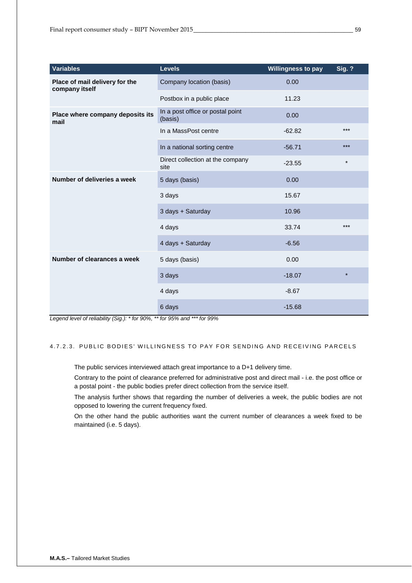| <b>Variables</b>                                 | <b>Levels</b>                               | <b>Willingness to pay</b> | <b>Sig. ?</b> |
|--------------------------------------------------|---------------------------------------------|---------------------------|---------------|
| Place of mail delivery for the<br>company itself | Company location (basis)                    | 0.00                      |               |
|                                                  | Postbox in a public place                   | 11.23                     |               |
| Place where company deposits its<br>mail         | In a post office or postal point<br>(basis) | 0.00                      |               |
|                                                  | In a MassPost centre                        | $-62.82$                  | ***           |
|                                                  | In a national sorting centre                | $-56.71$                  | ***           |
|                                                  | Direct collection at the company<br>site    | $-23.55$                  | $\star$       |
| Number of deliveries a week                      | 5 days (basis)                              | 0.00                      |               |
|                                                  | 3 days                                      | 15.67                     |               |
|                                                  | 3 days + Saturday                           | 10.96                     |               |
|                                                  | 4 days                                      | 33.74                     | ***           |
|                                                  | 4 days + Saturday                           | $-6.56$                   |               |
| Number of clearances a week                      | 5 days (basis)                              | 0.00                      |               |
|                                                  | 3 days                                      | $-18.07$                  | $\star$       |
|                                                  | 4 days                                      | $-8.67$                   |               |
|                                                  | 6 days                                      | $-15.68$                  |               |

## 4.7.2.3. PUBLIC BODIES' WILLINGNESS TO PAY FOR SENDING AND RECEIVING PARCELS

The public services interviewed attach great importance to a D+1 delivery time.

Contrary to the point of clearance preferred for administrative post and direct mail - i.e. the post office or a postal point - the public bodies prefer direct collection from the service itself.

The analysis further shows that regarding the number of deliveries a week, the public bodies are not opposed to lowering the current frequency fixed.

On the other hand the public authorities want the current number of clearances a week fixed to be maintained (i.e. 5 days).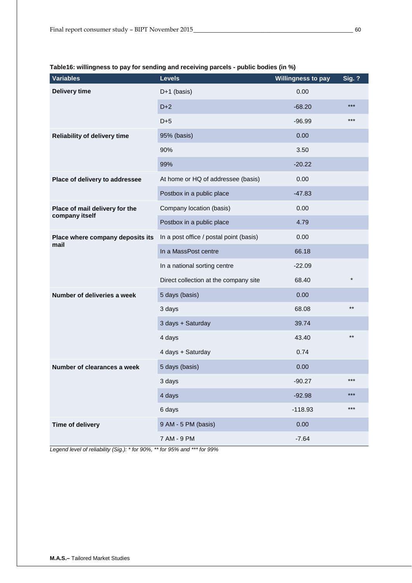| <b>Variables</b>                    | <b>Levels</b>                           | <b>Willingness to pay</b> | <b>Sig. ?</b> |
|-------------------------------------|-----------------------------------------|---------------------------|---------------|
| <b>Delivery time</b>                | D+1 (basis)                             | 0.00                      |               |
|                                     | $D+2$                                   | $-68.20$                  | $***$         |
|                                     | $D+5$                                   | $-96.99$                  | $***$         |
| <b>Reliability of delivery time</b> | 95% (basis)                             | 0.00                      |               |
|                                     | 90%                                     | 3.50                      |               |
|                                     | 99%                                     | $-20.22$                  |               |
| Place of delivery to addressee      | At home or HQ of addressee (basis)      | 0.00                      |               |
|                                     | Postbox in a public place               | $-47.83$                  |               |
| Place of mail delivery for the      | Company location (basis)                | 0.00                      |               |
| company itself                      | Postbox in a public place               | 4.79                      |               |
| Place where company deposits its    | In a post office / postal point (basis) | 0.00                      |               |
| mail                                | In a MassPost centre                    | 66.18                     |               |
|                                     | In a national sorting centre            | $-22.09$                  |               |
|                                     | Direct collection at the company site   | 68.40                     | $\star$       |
| Number of deliveries a week         | 5 days (basis)                          | 0.00                      |               |
|                                     | 3 days                                  | 68.08                     | $***$         |
|                                     | 3 days + Saturday                       | 39.74                     |               |
|                                     | 4 days                                  | 43.40                     | $***$         |
|                                     | 4 days + Saturday                       | 0.74                      |               |
| Number of clearances a week         | 5 days (basis)                          | 0.00                      |               |
|                                     | 3 days                                  | $-90.27$                  | $***$         |
|                                     | 4 days                                  | $-92.98$                  | ***           |
|                                     | 6 days                                  | $-118.93$                 | $***$         |
| Time of delivery                    | 9 AM - 5 PM (basis)                     | 0.00                      |               |
|                                     | 7 AM - 9 PM                             | $-7.64$                   |               |

<span id="page-59-0"></span>**Table16: willingness to pay for sending and receiving parcels - public bodies (in %)**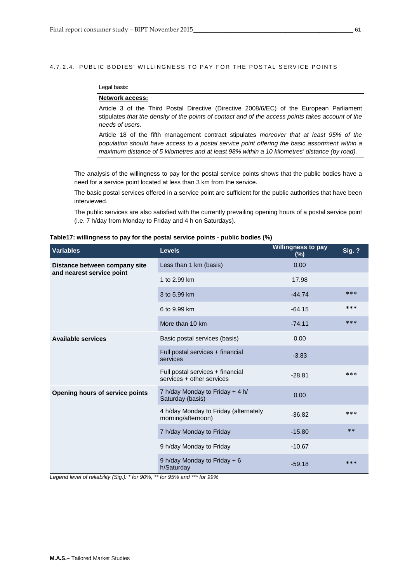## 4.7.2.4. PUBLIC BODIES' WILLINGNESS TO PAY FOR THE POSTAL SERVICE POINTS

## Legal basis:

## **Network access:**

Article 3 of the Third Postal Directive (Directive 2008/6/EC) of the European Parliament stipulates *that the density of the points of contact and of the access points takes account of the needs of users.*

Article 18 of the fifth management contract stipulates *moreover that at least 95% of the population should have access to a postal service point offering the basic assortment within a maximum distance of 5 kilometres and at least 98% within a 10 kilometres' distance (by road).* 

The analysis of the willingness to pay for the postal service points shows that the public bodies have a need for a service point located at less than 3 km from the service.

The basic postal services offered in a service point are sufficient for the public authorities that have been interviewed.

The public services are also satisfied with the currently prevailing opening hours of a postal service point (i.e. 7 h/day from Monday to Friday and 4 h on Saturdays).

| <b>Variables</b>                                           | <b>Levels</b>                                                 | <b>Willingness to pay</b><br>(%) | <b>Sig. ?</b> |
|------------------------------------------------------------|---------------------------------------------------------------|----------------------------------|---------------|
| Distance between company site<br>and nearest service point | Less than 1 km (basis)                                        | 0.00                             |               |
|                                                            | 1 to 2.99 km                                                  | 17.98                            |               |
|                                                            | 3 to 5.99 km                                                  | $-44.74$                         | ***           |
|                                                            | 6 to 9.99 km                                                  | $-64.15$                         | ***           |
|                                                            | More than 10 km                                               | $-74.11$                         | ***           |
| <b>Available services</b>                                  | Basic postal services (basis)                                 | 0.00                             |               |
|                                                            | Full postal services + financial<br>services                  | $-3.83$                          |               |
|                                                            | Full postal services + financial<br>services + other services | $-28.81$                         | $***$         |
| Opening hours of service points                            | 7 h/day Monday to Friday + 4 h/<br>Saturday (basis)           | 0.00                             |               |
|                                                            | 4 h/day Monday to Friday (alternately<br>morning/afternoon)   | $-36.82$                         | ***           |
|                                                            | 7 h/day Monday to Friday                                      | $-15.80$                         | $***$         |
|                                                            | 9 h/day Monday to Friday                                      | $-10.67$                         |               |
|                                                            | 9 h/day Monday to Friday + 6<br>h/Saturday                    | $-59.18$                         | ***           |

#### <span id="page-60-0"></span>**Table17: willingness to pay for the postal service points - public bodies (%)**

*Legend level of reliability (Sig.): \* for 90%, \*\* for 95% and \*\*\* for 99%*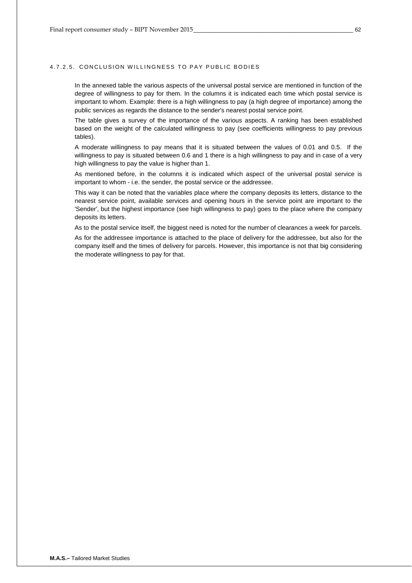## 4.7.2.5. CONCLUSION WILLINGNESS TO PAY PUBLIC BODIES

In the annexed table the various aspects of the universal postal service are mentioned in function of the degree of willingness to pay for them. In the columns it is indicated each time which postal service is important to whom. Example: there is a high willingness to pay (a high degree of importance) among the public services as regards the distance to the sender's nearest postal service point.

The table gives a survey of the importance of the various aspects. A ranking has been established based on the weight of the calculated willingness to pay (see coefficients willingness to pay previous tables).

A moderate willingness to pay means that it is situated between the values of 0.01 and 0.5. If the willingness to pay is situated between 0.6 and 1 there is a high willingness to pay and in case of a very high willingness to pay the value is higher than 1.

As mentioned before, in the columns it is indicated which aspect of the universal postal service is important to whom - i.e. the sender, the postal service or the addressee.

This way it can be noted that the variables place where the company deposits its letters, distance to the nearest service point, available services and opening hours in the service point are important to the 'Sender', but the highest importance (see high willingness to pay) goes to the place where the company deposits its letters.

As to the postal service itself, the biggest need is noted for the number of clearances a week for parcels. As for the addressee importance is attached to the place of delivery for the addressee, but also for the company itself and the times of delivery for parcels. However, this importance is not that big considering the moderate willingness to pay for that.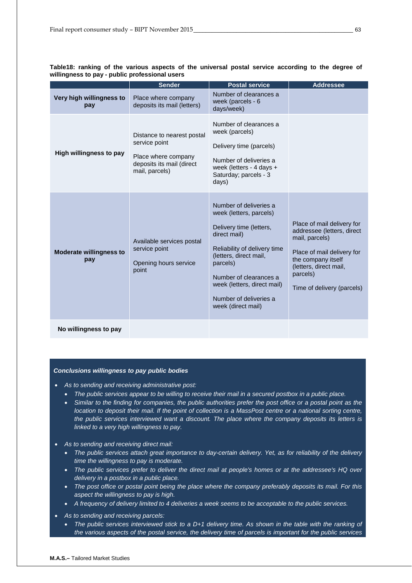|                                       | Sender                                                                                                            | <b>Postal service</b>                                                                                                                                                                                                                                                       | <b>Addressee</b>                                                                                                                                                                                   |
|---------------------------------------|-------------------------------------------------------------------------------------------------------------------|-----------------------------------------------------------------------------------------------------------------------------------------------------------------------------------------------------------------------------------------------------------------------------|----------------------------------------------------------------------------------------------------------------------------------------------------------------------------------------------------|
| Very high willingness to<br>pay       | Place where company<br>deposits its mail (letters)                                                                | Number of clearances a<br>week (parcels - 6<br>days/week)                                                                                                                                                                                                                   |                                                                                                                                                                                                    |
| High willingness to pay               | Distance to nearest postal<br>service point<br>Place where company<br>deposits its mail (direct<br>mail, parcels) | Number of clearances a<br>week (parcels)<br>Delivery time (parcels)<br>Number of deliveries a<br>week (letters - 4 days +<br>Saturday; parcels - 3<br>days)                                                                                                                 |                                                                                                                                                                                                    |
| <b>Moderate willingness to</b><br>pay | Available services postal<br>service point<br>Opening hours service<br>point                                      | Number of deliveries a<br>week (letters, parcels)<br>Delivery time (letters,<br>direct mail)<br>Reliability of delivery time<br>(letters, direct mail,<br>parcels)<br>Number of clearances a<br>week (letters, direct mail)<br>Number of deliveries a<br>week (direct mail) | Place of mail delivery for<br>addressee (letters, direct<br>mail, parcels)<br>Place of mail delivery for<br>the company itself<br>(letters, direct mail,<br>parcels)<br>Time of delivery (parcels) |
| No willingness to pay                 |                                                                                                                   |                                                                                                                                                                                                                                                                             |                                                                                                                                                                                                    |

<span id="page-62-0"></span>**Table18: ranking of the various aspects of the universal postal service according to the degree of willingness to pay - public professional users**

#### *Conclusions willingness to pay public bodies*

- *As to sending and receiving administrative post:* 
	- *The public services appear to be willing to receive their mail in a secured postbox in a public place.*
	- *Similar to the finding for companies, the public authorities prefer the post office or a postal point as the location to deposit their mail. If the point of collection is a MassPost centre or a national sorting centre, the public services interviewed want a discount. The place where the company deposits its letters is linked to a very high willingness to pay.*
- *As to sending and receiving direct mail:* 
	- *The public services attach great importance to day-certain delivery. Yet, as for reliability of the delivery time the willingness to pay is moderate.*
	- *The public services prefer to deliver the direct mail at people's homes or at the addressee's HQ over delivery in a postbox in a public place.*
	- *The post office or postal point being the place where the company preferably deposits its mail. For this aspect the willingness to pay is high.*
	- *A frequency of delivery limited to 4 deliveries a week seems to be acceptable to the public services.*
- *As to sending and receiving parcels:* 
	- *The public services interviewed stick to a D+1 delivery time. As shown in the table with the ranking of the various aspects of the postal service, the delivery time of parcels is important for the public services*